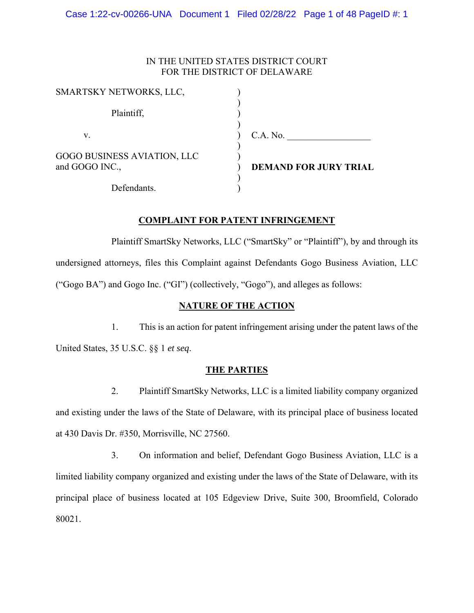# IN THE UNITED STATES DISTRICT COURT FOR THE DISTRICT OF DELAWARE

| SMARTSKY NETWORKS, LLC,                              |                              |
|------------------------------------------------------|------------------------------|
| Plaintiff,                                           |                              |
| V.                                                   | C.A. No.                     |
| <b>GOGO BUSINESS AVIATION, LLC</b><br>and GOGO INC., | <b>DEMAND FOR JURY TRIAL</b> |
| Defendants.                                          |                              |

# **COMPLAINT FOR PATENT INFRINGEMENT**

Plaintiff SmartSky Networks, LLC ("SmartSky" or "Plaintiff"), by and through its undersigned attorneys, files this Complaint against Defendants Gogo Business Aviation, LLC ("Gogo BA") and Gogo Inc. ("GI") (collectively, "Gogo"), and alleges as follows:

# **NATURE OF THE ACTION**

1. This is an action for patent infringement arising under the patent laws of the United States, 35 U.S.C. §§ 1 *et seq*.

## **THE PARTIES**

2. Plaintiff SmartSky Networks, LLC is a limited liability company organized and existing under the laws of the State of Delaware, with its principal place of business located at 430 Davis Dr. #350, Morrisville, NC 27560.

3. On information and belief, Defendant Gogo Business Aviation, LLC is a limited liability company organized and existing under the laws of the State of Delaware, with its principal place of business located at 105 Edgeview Drive, Suite 300, Broomfield, Colorado 80021.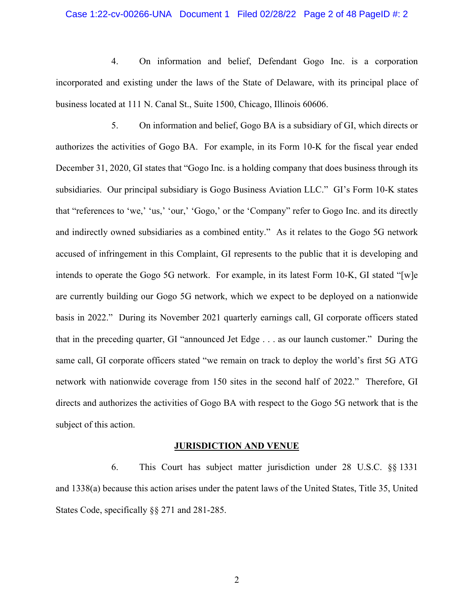### Case 1:22-cv-00266-UNA Document 1 Filed 02/28/22 Page 2 of 48 PageID #: 2

4. On information and belief, Defendant Gogo Inc. is a corporation incorporated and existing under the laws of the State of Delaware, with its principal place of business located at 111 N. Canal St., Suite 1500, Chicago, Illinois 60606.

5. On information and belief, Gogo BA is a subsidiary of GI, which directs or authorizes the activities of Gogo BA. For example, in its Form 10-K for the fiscal year ended December 31, 2020, GI states that "Gogo Inc. is a holding company that does business through its subsidiaries. Our principal subsidiary is Gogo Business Aviation LLC." GI's Form 10-K states that "references to 'we,' 'us,' 'our,' 'Gogo,' or the 'Company" refer to Gogo Inc. and its directly and indirectly owned subsidiaries as a combined entity." As it relates to the Gogo 5G network accused of infringement in this Complaint, GI represents to the public that it is developing and intends to operate the Gogo 5G network. For example, in its latest Form 10-K, GI stated "[w]e are currently building our Gogo 5G network, which we expect to be deployed on a nationwide basis in 2022." During its November 2021 quarterly earnings call, GI corporate officers stated that in the preceding quarter, GI "announced Jet Edge . . . as our launch customer." During the same call, GI corporate officers stated "we remain on track to deploy the world's first 5G ATG network with nationwide coverage from 150 sites in the second half of 2022." Therefore, GI directs and authorizes the activities of Gogo BA with respect to the Gogo 5G network that is the subject of this action.

#### **JURISDICTION AND VENUE**

6. This Court has subject matter jurisdiction under 28 U.S.C. §§ 1331 and 1338(a) because this action arises under the patent laws of the United States, Title 35, United States Code, specifically §§ 271 and 281-285.

2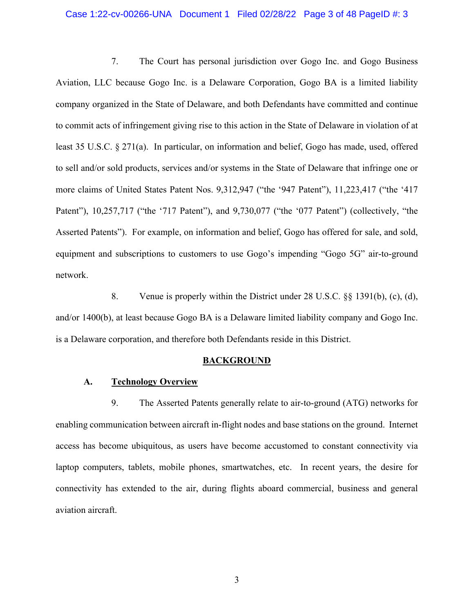### Case 1:22-cv-00266-UNA Document 1 Filed 02/28/22 Page 3 of 48 PageID #: 3

7. The Court has personal jurisdiction over Gogo Inc. and Gogo Business Aviation, LLC because Gogo Inc. is a Delaware Corporation, Gogo BA is a limited liability company organized in the State of Delaware, and both Defendants have committed and continue to commit acts of infringement giving rise to this action in the State of Delaware in violation of at least 35 U.S.C. § 271(a). In particular, on information and belief, Gogo has made, used, offered to sell and/or sold products, services and/or systems in the State of Delaware that infringe one or more claims of United States Patent Nos. 9,312,947 ("the '947 Patent"), 11,223,417 ("the '417 Patent"), 10,257,717 ("the '717 Patent"), and 9,730,077 ("the '077 Patent") (collectively, "the Asserted Patents"). For example, on information and belief, Gogo has offered for sale, and sold, equipment and subscriptions to customers to use Gogo's impending "Gogo 5G" air-to-ground network.

8. Venue is properly within the District under 28 U.S.C. §§ 1391(b), (c), (d), and/or 1400(b), at least because Gogo BA is a Delaware limited liability company and Gogo Inc. is a Delaware corporation, and therefore both Defendants reside in this District.

### **BACKGROUND**

### **A. Technology Overview**

9. The Asserted Patents generally relate to air-to-ground (ATG) networks for enabling communication between aircraft in-flight nodes and base stations on the ground. Internet access has become ubiquitous, as users have become accustomed to constant connectivity via laptop computers, tablets, mobile phones, smartwatches, etc. In recent years, the desire for connectivity has extended to the air, during flights aboard commercial, business and general aviation aircraft.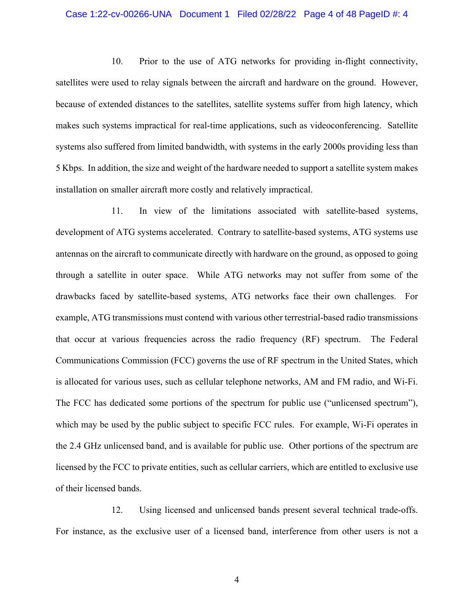#### Case 1:22-cv-00266-UNA Document 1 Filed 02/28/22 Page 4 of 48 PageID #: 4

10. Prior to the use of ATG networks for providing in-flight connectivity, satellites were used to relay signals between the aircraft and hardware on the ground. However, because of extended distances to the satellites, satellite systems suffer from high latency, which makes such systems impractical for real-time applications, such as videoconferencing. Satellite systems also suffered from limited bandwidth, with systems in the early 2000s providing less than 5 Kbps. In addition, the size and weight of the hardware needed to support a satellite system makes installation on smaller aircraft more costly and relatively impractical.

11. In view of the limitations associated with satellite-based systems, development of ATG systems accelerated. Contrary to satellite-based systems, ATG systems use antennas on the aircraft to communicate directly with hardware on the ground, as opposed to going through a satellite in outer space. While ATG networks may not suffer from some of the drawbacks faced by satellite-based systems, ATG networks face their own challenges. For example, ATG transmissions must contend with various other terrestrial-based radio transmissions that occur at various frequencies across the radio frequency (RF) spectrum. The Federal Communications Commission (FCC) governs the use of RF spectrum in the United States, which is allocated for various uses, such as cellular telephone networks, AM and FM radio, and Wi-Fi. The FCC has dedicated some portions of the spectrum for public use ("unlicensed spectrum"), which may be used by the public subject to specific FCC rules. For example, Wi-Fi operates in the 2.4 GHz unlicensed band, and is available for public use. Other portions of the spectrum are licensed by the FCC to private entities, such as cellular carriers, which are entitled to exclusive use of their licensed bands.

12. Using licensed and unlicensed bands present several technical trade-offs. For instance, as the exclusive user of a licensed band, interference from other users is not a

4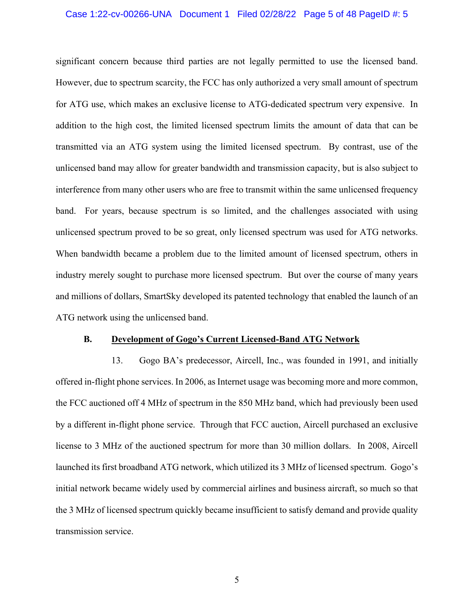### Case 1:22-cv-00266-UNA Document 1 Filed 02/28/22 Page 5 of 48 PageID #: 5

significant concern because third parties are not legally permitted to use the licensed band. However, due to spectrum scarcity, the FCC has only authorized a very small amount of spectrum for ATG use, which makes an exclusive license to ATG-dedicated spectrum very expensive. In addition to the high cost, the limited licensed spectrum limits the amount of data that can be transmitted via an ATG system using the limited licensed spectrum. By contrast, use of the unlicensed band may allow for greater bandwidth and transmission capacity, but is also subject to interference from many other users who are free to transmit within the same unlicensed frequency band. For years, because spectrum is so limited, and the challenges associated with using unlicensed spectrum proved to be so great, only licensed spectrum was used for ATG networks. When bandwidth became a problem due to the limited amount of licensed spectrum, others in industry merely sought to purchase more licensed spectrum. But over the course of many years and millions of dollars, SmartSky developed its patented technology that enabled the launch of an ATG network using the unlicensed band.

### **B. Development of Gogo's Current Licensed-Band ATG Network**

13. Gogo BA's predecessor, Aircell, Inc., was founded in 1991, and initially offered in-flight phone services. In 2006, as Internet usage was becoming more and more common, the FCC auctioned off 4 MHz of spectrum in the 850 MHz band, which had previously been used by a different in-flight phone service. Through that FCC auction, Aircell purchased an exclusive license to 3 MHz of the auctioned spectrum for more than 30 million dollars. In 2008, Aircell launched its first broadband ATG network, which utilized its 3 MHz of licensed spectrum. Gogo's initial network became widely used by commercial airlines and business aircraft, so much so that the 3 MHz of licensed spectrum quickly became insufficient to satisfy demand and provide quality transmission service.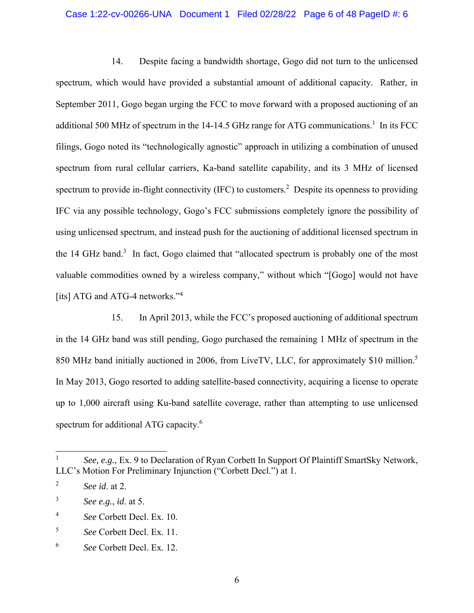### Case 1:22-cv-00266-UNA Document 1 Filed 02/28/22 Page 6 of 48 PageID #: 6

14. Despite facing a bandwidth shortage, Gogo did not turn to the unlicensed spectrum, which would have provided a substantial amount of additional capacity. Rather, in September 2011, Gogo began urging the FCC to move forward with a proposed auctioning of an additional 500 MHz of spectrum in the 14-14.5 GHz range for ATG communications.<sup>1</sup> In its FCC filings, Gogo noted its "technologically agnostic" approach in utilizing a combination of unused spectrum from rural cellular carriers, Ka-band satellite capability, and its 3 MHz of licensed spectrum to provide in-flight connectivity (IFC) to customers.<sup>2</sup> Despite its openness to providing IFC via any possible technology, Gogo's FCC submissions completely ignore the possibility of using unlicensed spectrum, and instead push for the auctioning of additional licensed spectrum in the 14 GHz band.<sup>3</sup> In fact, Gogo claimed that "allocated spectrum is probably one of the most valuable commodities owned by a wireless company," without which "[Gogo] would not have [its] ATG and ATG-4 networks."<sup>4</sup>

15. In April 2013, while the FCC's proposed auctioning of additional spectrum in the 14 GHz band was still pending, Gogo purchased the remaining 1 MHz of spectrum in the 850 MHz band initially auctioned in 2006, from LiveTV, LLC, for approximately \$10 million.<sup>5</sup> In May 2013, Gogo resorted to adding satellite-based connectivity, acquiring a license to operate up to 1,000 aircraft using Ku-band satellite coverage, rather than attempting to use unlicensed spectrum for additional ATG capacity.<sup>6</sup>

<sup>1</sup> *See, e.g.*, Ex. 9 to Declaration of Ryan Corbett In Support Of Plaintiff SmartSky Network, LLC's Motion For Preliminary Injunction ("Corbett Decl.") at 1.

<sup>2</sup> *See id*. at 2.

<sup>3</sup> *See e.g.*, *id*. at 5.

<sup>4</sup> *See* Corbett Decl. Ex. 10.

<sup>5</sup> *See* Corbett Decl. Ex. 11.

<sup>6</sup> *See* Corbett Decl. Ex. 12.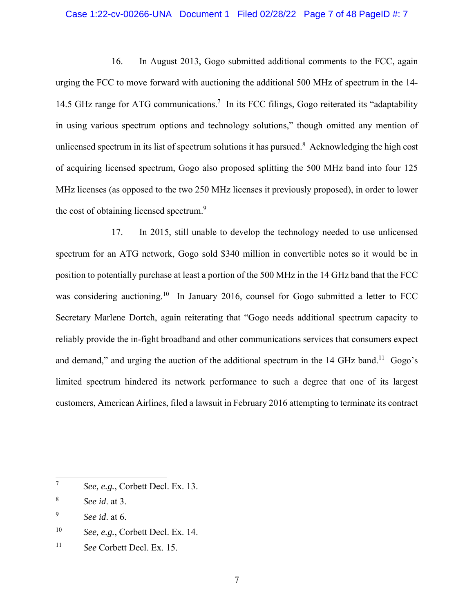### Case 1:22-cv-00266-UNA Document 1 Filed 02/28/22 Page 7 of 48 PageID #: 7

16. In August 2013, Gogo submitted additional comments to the FCC, again urging the FCC to move forward with auctioning the additional 500 MHz of spectrum in the 14- 14.5 GHz range for ATG communications.<sup>7</sup> In its FCC filings, Gogo reiterated its "adaptability in using various spectrum options and technology solutions," though omitted any mention of unlicensed spectrum in its list of spectrum solutions it has pursued.<sup>8</sup> Acknowledging the high cost of acquiring licensed spectrum, Gogo also proposed splitting the 500 MHz band into four 125 MHz licenses (as opposed to the two 250 MHz licenses it previously proposed), in order to lower the cost of obtaining licensed spectrum.<sup>9</sup>

17. In 2015, still unable to develop the technology needed to use unlicensed spectrum for an ATG network, Gogo sold \$340 million in convertible notes so it would be in position to potentially purchase at least a portion of the 500 MHz in the 14 GHz band that the FCC was considering auctioning.<sup>10</sup> In January 2016, counsel for Gogo submitted a letter to FCC Secretary Marlene Dortch, again reiterating that "Gogo needs additional spectrum capacity to reliably provide the in-fight broadband and other communications services that consumers expect and demand," and urging the auction of the additional spectrum in the  $14 \text{ GHz}$  band.<sup>11</sup> Gogo's limited spectrum hindered its network performance to such a degree that one of its largest customers, American Airlines, filed a lawsuit in February 2016 attempting to terminate its contract

11 *See* Corbett Decl. Ex. 15.

<sup>7</sup> *See, e.g.*, Corbett Decl. Ex. 13.

<sup>8</sup> *See id*. at 3.

<sup>9</sup> *See id*. at 6.

<sup>&</sup>lt;sup>10</sup> *See, e.g.*, Corbett Decl. Ex. 14.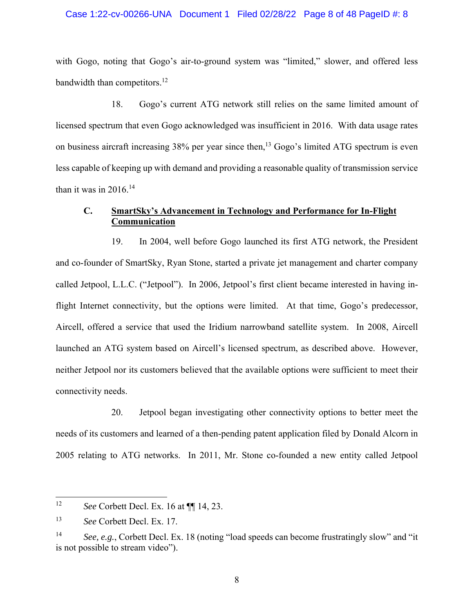### Case 1:22-cv-00266-UNA Document 1 Filed 02/28/22 Page 8 of 48 PageID #: 8

with Gogo, noting that Gogo's air-to-ground system was "limited," slower, and offered less bandwidth than competitors.<sup>12</sup>

18. Gogo's current ATG network still relies on the same limited amount of licensed spectrum that even Gogo acknowledged was insufficient in 2016. With data usage rates on business aircraft increasing 38% per year since then,<sup>13</sup> Gogo's limited ATG spectrum is even less capable of keeping up with demand and providing a reasonable quality of transmission service than it was in  $2016$ .<sup>14</sup>

# **C. SmartSky's Advancement in Technology and Performance for In-Flight Communication**

19. In 2004, well before Gogo launched its first ATG network, the President and co-founder of SmartSky, Ryan Stone, started a private jet management and charter company called Jetpool, L.L.C. ("Jetpool"). In 2006, Jetpool's first client became interested in having inflight Internet connectivity, but the options were limited. At that time, Gogo's predecessor, Aircell, offered a service that used the Iridium narrowband satellite system. In 2008, Aircell launched an ATG system based on Aircell's licensed spectrum, as described above. However, neither Jetpool nor its customers believed that the available options were sufficient to meet their connectivity needs.

20. Jetpool began investigating other connectivity options to better meet the needs of its customers and learned of a then-pending patent application filed by Donald Alcorn in 2005 relating to ATG networks. In 2011, Mr. Stone co-founded a new entity called Jetpool

<sup>12</sup> *See* Corbett Decl. Ex. 16 at ¶¶ 14, 23.

<sup>13</sup> *See* Corbett Decl. Ex. 17.

<sup>14</sup> *See, e.g.*, Corbett Decl. Ex. 18 (noting "load speeds can become frustratingly slow" and "it is not possible to stream video").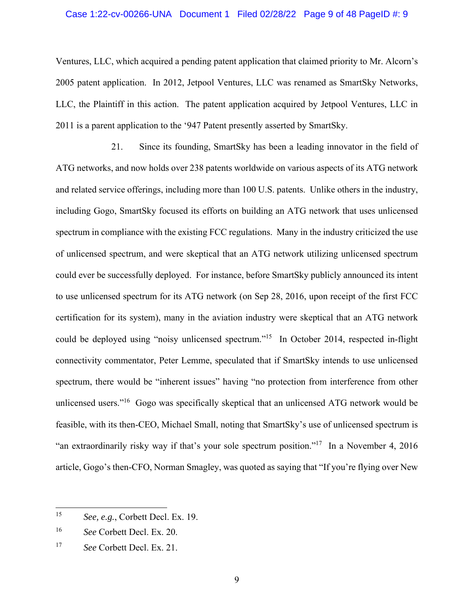### Case 1:22-cv-00266-UNA Document 1 Filed 02/28/22 Page 9 of 48 PageID #: 9

Ventures, LLC, which acquired a pending patent application that claimed priority to Mr. Alcorn's 2005 patent application. In 2012, Jetpool Ventures, LLC was renamed as SmartSky Networks, LLC, the Plaintiff in this action. The patent application acquired by Jetpool Ventures, LLC in 2011 is a parent application to the '947 Patent presently asserted by SmartSky.

21. Since its founding, SmartSky has been a leading innovator in the field of ATG networks, and now holds over 238 patents worldwide on various aspects of its ATG network and related service offerings, including more than 100 U.S. patents. Unlike others in the industry, including Gogo, SmartSky focused its efforts on building an ATG network that uses unlicensed spectrum in compliance with the existing FCC regulations. Many in the industry criticized the use of unlicensed spectrum, and were skeptical that an ATG network utilizing unlicensed spectrum could ever be successfully deployed. For instance, before SmartSky publicly announced its intent to use unlicensed spectrum for its ATG network (on Sep 28, 2016, upon receipt of the first FCC certification for its system), many in the aviation industry were skeptical that an ATG network could be deployed using "noisy unlicensed spectrum."<sup>15</sup> In October 2014, respected in-flight connectivity commentator, Peter Lemme, speculated that if SmartSky intends to use unlicensed spectrum, there would be "inherent issues" having "no protection from interference from other unlicensed users."<sup>16</sup> Gogo was specifically skeptical that an unlicensed ATG network would be feasible, with its then-CEO, Michael Small, noting that SmartSky's use of unlicensed spectrum is "an extraordinarily risky way if that's your sole spectrum position."<sup>17</sup> In a November 4, 2016 article, Gogo's then-CFO, Norman Smagley, was quoted as saying that "If you're flying over New

<sup>15</sup> *See, e.g.*, Corbett Decl. Ex. 19.

<sup>16</sup> *See* Corbett Decl. Ex. 20.

<sup>17</sup> *See* Corbett Decl. Ex. 21.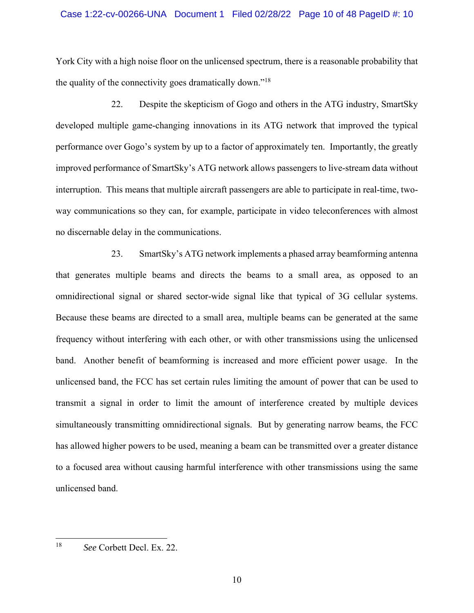### Case 1:22-cv-00266-UNA Document 1 Filed 02/28/22 Page 10 of 48 PageID #: 10

York City with a high noise floor on the unlicensed spectrum, there is a reasonable probability that the quality of the connectivity goes dramatically down."18

22. Despite the skepticism of Gogo and others in the ATG industry, SmartSky developed multiple game-changing innovations in its ATG network that improved the typical performance over Gogo's system by up to a factor of approximately ten. Importantly, the greatly improved performance of SmartSky's ATG network allows passengers to live-stream data without interruption. This means that multiple aircraft passengers are able to participate in real-time, twoway communications so they can, for example, participate in video teleconferences with almost no discernable delay in the communications.

23. SmartSky's ATG network implements a phased array beamforming antenna that generates multiple beams and directs the beams to a small area, as opposed to an omnidirectional signal or shared sector-wide signal like that typical of 3G cellular systems. Because these beams are directed to a small area, multiple beams can be generated at the same frequency without interfering with each other, or with other transmissions using the unlicensed band. Another benefit of beamforming is increased and more efficient power usage. In the unlicensed band, the FCC has set certain rules limiting the amount of power that can be used to transmit a signal in order to limit the amount of interference created by multiple devices simultaneously transmitting omnidirectional signals. But by generating narrow beams, the FCC has allowed higher powers to be used, meaning a beam can be transmitted over a greater distance to a focused area without causing harmful interference with other transmissions using the same unlicensed band.

<sup>18</sup> *See* Corbett Decl. Ex. 22.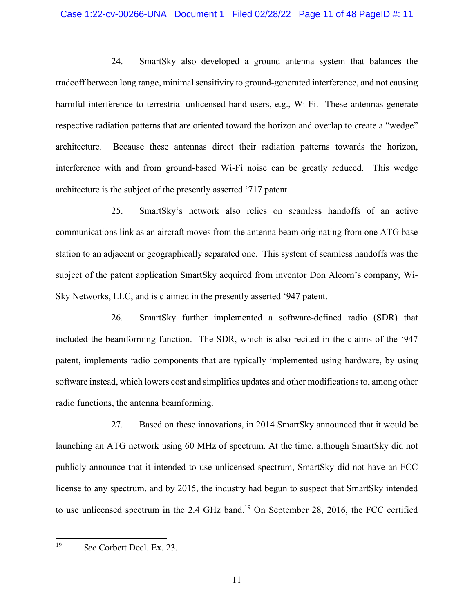### Case 1:22-cv-00266-UNA Document 1 Filed 02/28/22 Page 11 of 48 PageID #: 11

24. SmartSky also developed a ground antenna system that balances the tradeoff between long range, minimal sensitivity to ground-generated interference, and not causing harmful interference to terrestrial unlicensed band users, e.g., Wi-Fi. These antennas generate respective radiation patterns that are oriented toward the horizon and overlap to create a "wedge" architecture. Because these antennas direct their radiation patterns towards the horizon, interference with and from ground-based Wi-Fi noise can be greatly reduced. This wedge architecture is the subject of the presently asserted '717 patent.

25. SmartSky's network also relies on seamless handoffs of an active communications link as an aircraft moves from the antenna beam originating from one ATG base station to an adjacent or geographically separated one. This system of seamless handoffs was the subject of the patent application SmartSky acquired from inventor Don Alcorn's company, Wi-Sky Networks, LLC, and is claimed in the presently asserted '947 patent.

26. SmartSky further implemented a software-defined radio (SDR) that included the beamforming function. The SDR, which is also recited in the claims of the '947 patent, implements radio components that are typically implemented using hardware, by using software instead, which lowers cost and simplifies updates and other modifications to, among other radio functions, the antenna beamforming.

27. Based on these innovations, in 2014 SmartSky announced that it would be launching an ATG network using 60 MHz of spectrum. At the time, although SmartSky did not publicly announce that it intended to use unlicensed spectrum, SmartSky did not have an FCC license to any spectrum, and by 2015, the industry had begun to suspect that SmartSky intended to use unlicensed spectrum in the 2.4 GHz band.<sup>19</sup> On September 28, 2016, the FCC certified

<sup>19</sup> *See* Corbett Decl. Ex. 23.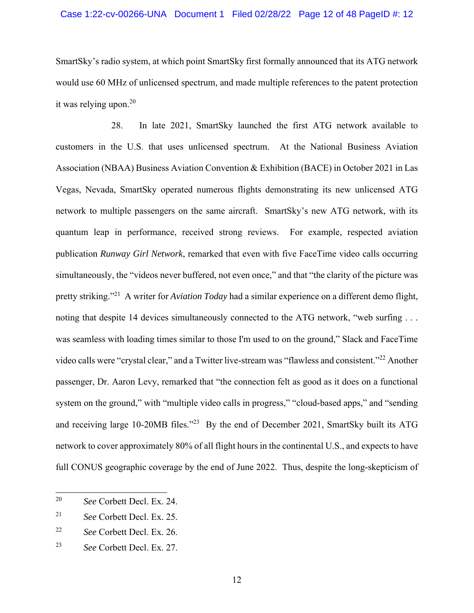### Case 1:22-cv-00266-UNA Document 1 Filed 02/28/22 Page 12 of 48 PageID #: 12

SmartSky's radio system, at which point SmartSky first formally announced that its ATG network would use 60 MHz of unlicensed spectrum, and made multiple references to the patent protection it was relying upon. $20$ 

28. In late 2021, SmartSky launched the first ATG network available to customers in the U.S. that uses unlicensed spectrum. At the National Business Aviation Association (NBAA) Business Aviation Convention & Exhibition (BACE) in October 2021 in Las Vegas, Nevada, SmartSky operated numerous flights demonstrating its new unlicensed ATG network to multiple passengers on the same aircraft. SmartSky's new ATG network, with its quantum leap in performance, received strong reviews. For example, respected aviation publication *Runway Girl Network*, remarked that even with five FaceTime video calls occurring simultaneously, the "videos never buffered, not even once," and that "the clarity of the picture was pretty striking."21 A writer for *Aviation Today* had a similar experience on a different demo flight, noting that despite 14 devices simultaneously connected to the ATG network, "web surfing ... was seamless with loading times similar to those I'm used to on the ground," Slack and FaceTime video calls were "crystal clear," and a Twitter live-stream was "flawless and consistent."22 Another passenger, Dr. Aaron Levy, remarked that "the connection felt as good as it does on a functional system on the ground," with "multiple video calls in progress," "cloud-based apps," and "sending and receiving large 10-20MB files."<sup>23</sup> By the end of December 2021, SmartSky built its ATG network to cover approximately 80% of all flight hours in the continental U.S., and expects to have full CONUS geographic coverage by the end of June 2022. Thus, despite the long-skepticism of

<sup>20</sup> *See* Corbett Decl. Ex. 24.

<sup>21</sup> *See* Corbett Decl. Ex. 25.

<sup>22</sup> *See* Corbett Decl. Ex. 26.

<sup>23</sup> *See* Corbett Decl. Ex. 27.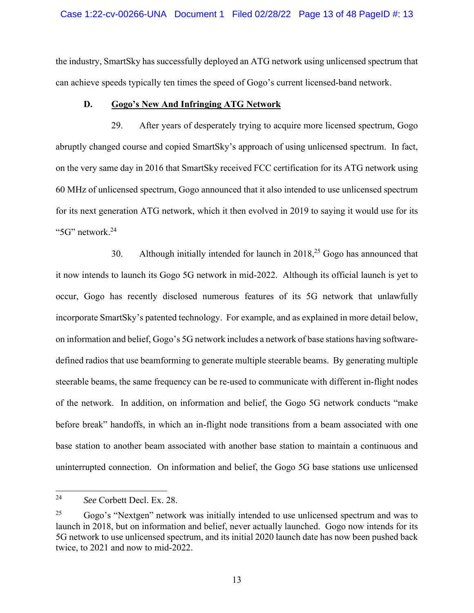### Case 1:22-cv-00266-UNA Document 1 Filed 02/28/22 Page 13 of 48 PageID #: 13

the industry, SmartSky has successfully deployed an ATG network using unlicensed spectrum that can achieve speeds typically ten times the speed of Gogo's current licensed-band network.

## **D. Gogo's New And Infringing ATG Network**

29. After years of desperately trying to acquire more licensed spectrum, Gogo abruptly changed course and copied SmartSky's approach of using unlicensed spectrum. In fact, on the very same day in 2016 that SmartSky received FCC certification for its ATG network using 60 MHz of unlicensed spectrum, Gogo announced that it also intended to use unlicensed spectrum for its next generation ATG network, which it then evolved in 2019 to saying it would use for its "5G" network.24

30. Although initially intended for launch in  $2018<sup>25</sup>$  Gogo has announced that it now intends to launch its Gogo 5G network in mid-2022. Although its official launch is yet to occur, Gogo has recently disclosed numerous features of its 5G network that unlawfully incorporate SmartSky's patented technology. For example, and as explained in more detail below, on information and belief, Gogo's 5G network includes a network of base stations having softwaredefined radios that use beamforming to generate multiple steerable beams. By generating multiple steerable beams, the same frequency can be re-used to communicate with different in-flight nodes of the network. In addition, on information and belief, the Gogo 5G network conducts "make before break" handoffs, in which an in-flight node transitions from a beam associated with one base station to another beam associated with another base station to maintain a continuous and uninterrupted connection. On information and belief, the Gogo 5G base stations use unlicensed

<sup>24</sup> *See* Corbett Decl. Ex. 28.

 $^{25}$  Gogo's "Nextgen" network was initially intended to use unlicensed spectrum and was to launch in 2018, but on information and belief, never actually launched. Gogo now intends for its 5G network to use unlicensed spectrum, and its initial 2020 launch date has now been pushed back twice, to 2021 and now to mid-2022.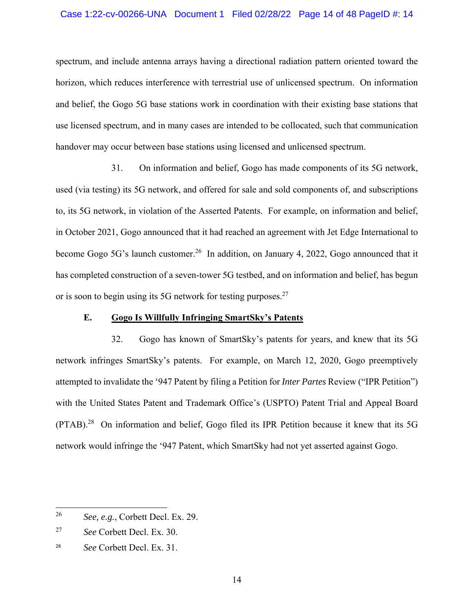### Case 1:22-cv-00266-UNA Document 1 Filed 02/28/22 Page 14 of 48 PageID #: 14

spectrum, and include antenna arrays having a directional radiation pattern oriented toward the horizon, which reduces interference with terrestrial use of unlicensed spectrum. On information and belief, the Gogo 5G base stations work in coordination with their existing base stations that use licensed spectrum, and in many cases are intended to be collocated, such that communication handover may occur between base stations using licensed and unlicensed spectrum.

31. On information and belief, Gogo has made components of its 5G network, used (via testing) its 5G network, and offered for sale and sold components of, and subscriptions to, its 5G network, in violation of the Asserted Patents. For example, on information and belief, in October 2021, Gogo announced that it had reached an agreement with Jet Edge International to become Gogo 5G's launch customer.<sup>26</sup> In addition, on January 4, 2022, Gogo announced that it has completed construction of a seven-tower 5G testbed, and on information and belief, has begun or is soon to begin using its 5G network for testing purposes.<sup>27</sup>

### **E. Gogo Is Willfully Infringing SmartSky's Patents**

32. Gogo has known of SmartSky's patents for years, and knew that its 5G network infringes SmartSky's patents. For example, on March 12, 2020, Gogo preemptively attempted to invalidate the '947 Patent by filing a Petition for *Inter Partes* Review ("IPR Petition") with the United States Patent and Trademark Office's (USPTO) Patent Trial and Appeal Board (PTAB).28 On information and belief, Gogo filed its IPR Petition because it knew that its 5G network would infringe the '947 Patent, which SmartSky had not yet asserted against Gogo.

<sup>26</sup> *See, e.g.*, Corbett Decl. Ex. 29.

<sup>27</sup> *See* Corbett Decl. Ex. 30.

<sup>28</sup>  *See* Corbett Decl. Ex. 31.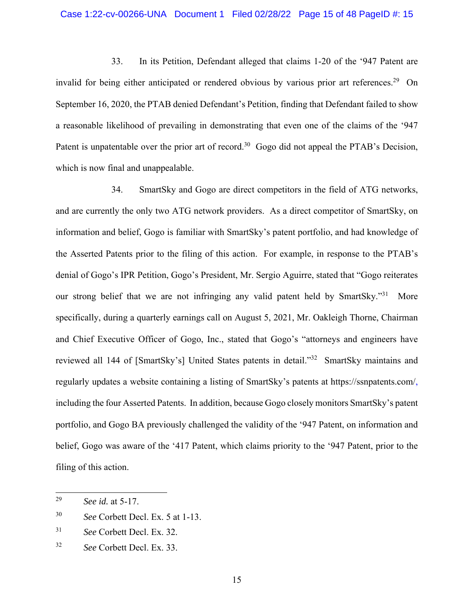### Case 1:22-cv-00266-UNA Document 1 Filed 02/28/22 Page 15 of 48 PageID #: 15

33. In its Petition, Defendant alleged that claims 1-20 of the '947 Patent are invalid for being either anticipated or rendered obvious by various prior art references.<sup>29</sup> On September 16, 2020, the PTAB denied Defendant's Petition, finding that Defendant failed to show a reasonable likelihood of prevailing in demonstrating that even one of the claims of the '947 Patent is unpatentable over the prior art of record.<sup>30</sup> Gogo did not appeal the PTAB's Decision, which is now final and unappealable.

34. SmartSky and Gogo are direct competitors in the field of ATG networks, and are currently the only two ATG network providers. As a direct competitor of SmartSky, on information and belief, Gogo is familiar with SmartSky's patent portfolio, and had knowledge of the Asserted Patents prior to the filing of this action. For example, in response to the PTAB's denial of Gogo's IPR Petition, Gogo's President, Mr. Sergio Aguirre, stated that "Gogo reiterates our strong belief that we are not infringing any valid patent held by SmartSky."<sup>31</sup> More specifically, during a quarterly earnings call on August 5, 2021, Mr. Oakleigh Thorne, Chairman and Chief Executive Officer of Gogo, Inc., stated that Gogo's "attorneys and engineers have reviewed all 144 of [SmartSky's] United States patents in detail."32 SmartSky maintains and regularly updates a website containing a listing of SmartSky's patents at https://ssnpatents.com/, including the four Asserted Patents. In addition, because Gogo closely monitors SmartSky's patent portfolio, and Gogo BA previously challenged the validity of the '947 Patent, on information and belief, Gogo was aware of the '417 Patent, which claims priority to the '947 Patent, prior to the filing of this action.

<sup>29</sup> *See id.* at 5-17.

<sup>30</sup> *See* Corbett Decl. Ex. 5 at 1-13.

<sup>31</sup> *See* Corbett Decl. Ex. 32.

<sup>32</sup> *See* Corbett Decl. Ex. 33.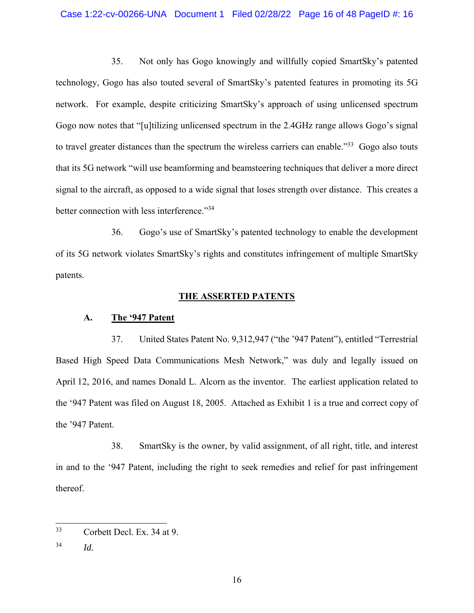### Case 1:22-cv-00266-UNA Document 1 Filed 02/28/22 Page 16 of 48 PageID #: 16

35. Not only has Gogo knowingly and willfully copied SmartSky's patented technology, Gogo has also touted several of SmartSky's patented features in promoting its 5G network. For example, despite criticizing SmartSky's approach of using unlicensed spectrum Gogo now notes that "[u]tilizing unlicensed spectrum in the 2.4GHz range allows Gogo's signal to travel greater distances than the spectrum the wireless carriers can enable.<sup>33</sup> Gogo also touts that its 5G network "will use beamforming and beamsteering techniques that deliver a more direct signal to the aircraft, as opposed to a wide signal that loses strength over distance. This creates a better connection with less interference."<sup>34</sup>

36. Gogo's use of SmartSky's patented technology to enable the development of its 5G network violates SmartSky's rights and constitutes infringement of multiple SmartSky patents.

## **THE ASSERTED PATENTS**

## **A. The '947 Patent**

37. United States Patent No. 9,312,947 ("the '947 Patent"), entitled "Terrestrial Based High Speed Data Communications Mesh Network," was duly and legally issued on April 12, 2016, and names Donald L. Alcorn as the inventor. The earliest application related to the '947 Patent was filed on August 18, 2005. Attached as Exhibit 1 is a true and correct copy of the '947 Patent.

38. SmartSky is the owner, by valid assignment, of all right, title, and interest in and to the '947 Patent, including the right to seek remedies and relief for past infringement thereof.

<sup>33</sup> Corbett Decl. Ex. 34 at 9.

<sup>34</sup> *Id.*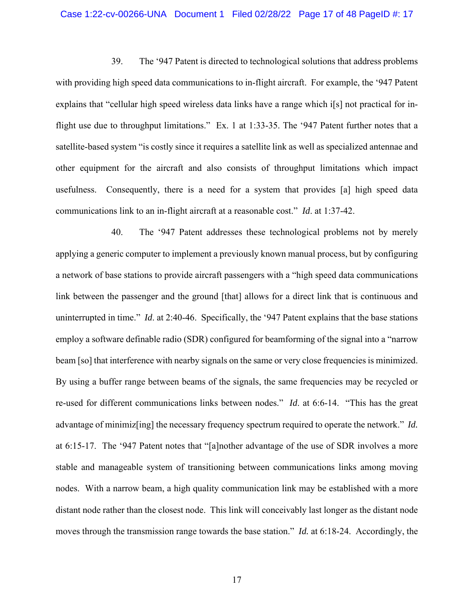#### Case 1:22-cv-00266-UNA Document 1 Filed 02/28/22 Page 17 of 48 PageID #: 17

39. The '947 Patent is directed to technological solutions that address problems with providing high speed data communications to in-flight aircraft. For example, the '947 Patent explains that "cellular high speed wireless data links have a range which i[s] not practical for inflight use due to throughput limitations." Ex. 1 at 1:33-35. The '947 Patent further notes that a satellite-based system "is costly since it requires a satellite link as well as specialized antennae and other equipment for the aircraft and also consists of throughput limitations which impact usefulness. Consequently, there is a need for a system that provides [a] high speed data communications link to an in-flight aircraft at a reasonable cost." *Id*. at 1:37-42.

40. The '947 Patent addresses these technological problems not by merely applying a generic computer to implement a previously known manual process, but by configuring a network of base stations to provide aircraft passengers with a "high speed data communications link between the passenger and the ground [that] allows for a direct link that is continuous and uninterrupted in time." *Id*. at 2:40-46. Specifically, the '947 Patent explains that the base stations employ a software definable radio (SDR) configured for beamforming of the signal into a "narrow beam [so] that interference with nearby signals on the same or very close frequencies is minimized. By using a buffer range between beams of the signals, the same frequencies may be recycled or re-used for different communications links between nodes." *Id*. at 6:6-14. "This has the great advantage of minimiz[ing] the necessary frequency spectrum required to operate the network." *Id.*  at 6:15-17. The '947 Patent notes that "[a]nother advantage of the use of SDR involves a more stable and manageable system of transitioning between communications links among moving nodes. With a narrow beam, a high quality communication link may be established with a more distant node rather than the closest node. This link will conceivably last longer as the distant node moves through the transmission range towards the base station." *Id.* at 6:18-24. Accordingly, the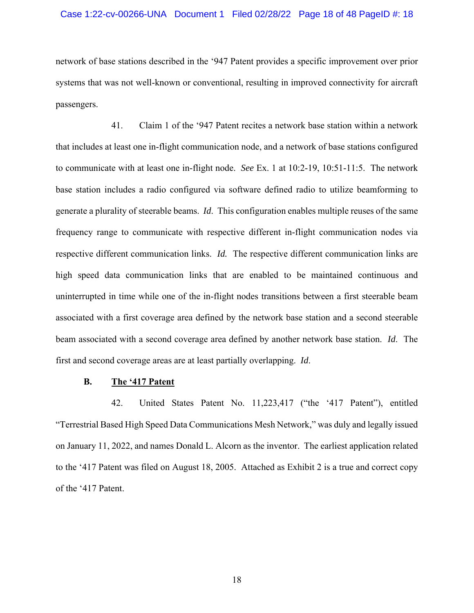### Case 1:22-cv-00266-UNA Document 1 Filed 02/28/22 Page 18 of 48 PageID #: 18

network of base stations described in the '947 Patent provides a specific improvement over prior systems that was not well-known or conventional, resulting in improved connectivity for aircraft passengers.

41. Claim 1 of the '947 Patent recites a network base station within a network that includes at least one in-flight communication node, and a network of base stations configured to communicate with at least one in-flight node. *See* Ex. 1 at 10:2-19, 10:51-11:5. The network base station includes a radio configured via software defined radio to utilize beamforming to generate a plurality of steerable beams. *Id*. This configuration enables multiple reuses of the same frequency range to communicate with respective different in-flight communication nodes via respective different communication links. *Id.* The respective different communication links are high speed data communication links that are enabled to be maintained continuous and uninterrupted in time while one of the in-flight nodes transitions between a first steerable beam associated with a first coverage area defined by the network base station and a second steerable beam associated with a second coverage area defined by another network base station. *Id*. The first and second coverage areas are at least partially overlapping. *Id*.

# **B. The '417 Patent**

42. United States Patent No. 11,223,417 ("the '417 Patent"), entitled "Terrestrial Based High Speed Data Communications Mesh Network," was duly and legally issued on January 11, 2022, and names Donald L. Alcorn as the inventor. The earliest application related to the '417 Patent was filed on August 18, 2005. Attached as Exhibit 2 is a true and correct copy of the '417 Patent.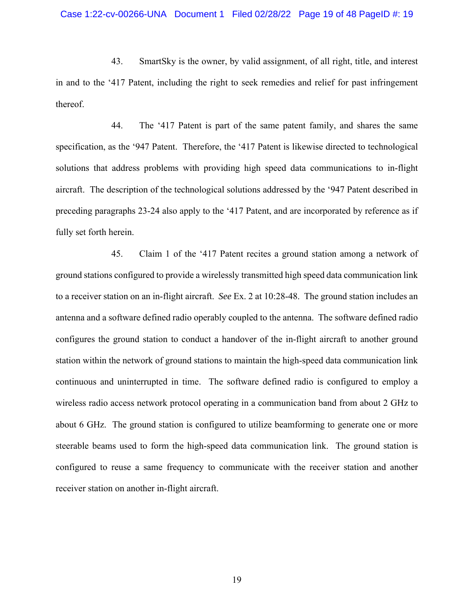43. SmartSky is the owner, by valid assignment, of all right, title, and interest in and to the '417 Patent, including the right to seek remedies and relief for past infringement thereof.

44. The '417 Patent is part of the same patent family, and shares the same specification, as the '947 Patent. Therefore, the '417 Patent is likewise directed to technological solutions that address problems with providing high speed data communications to in-flight aircraft. The description of the technological solutions addressed by the '947 Patent described in preceding paragraphs 23-24 also apply to the '417 Patent, and are incorporated by reference as if fully set forth herein.

45. Claim 1 of the '417 Patent recites a ground station among a network of ground stations configured to provide a wirelessly transmitted high speed data communication link to a receiver station on an in-flight aircraft. *See* Ex. 2 at 10:28-48. The ground station includes an antenna and a software defined radio operably coupled to the antenna. The software defined radio configures the ground station to conduct a handover of the in-flight aircraft to another ground station within the network of ground stations to maintain the high-speed data communication link continuous and uninterrupted in time. The software defined radio is configured to employ a wireless radio access network protocol operating in a communication band from about 2 GHz to about 6 GHz. The ground station is configured to utilize beamforming to generate one or more steerable beams used to form the high-speed data communication link. The ground station is configured to reuse a same frequency to communicate with the receiver station and another receiver station on another in-flight aircraft.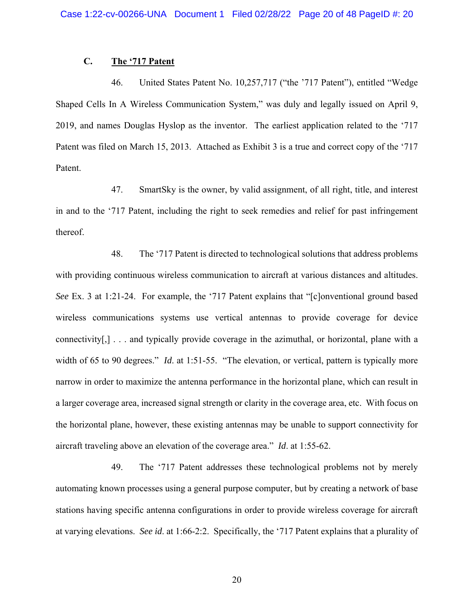# **C. The '717 Patent**

46. United States Patent No. 10,257,717 ("the '717 Patent"), entitled "Wedge Shaped Cells In A Wireless Communication System," was duly and legally issued on April 9, 2019, and names Douglas Hyslop as the inventor. The earliest application related to the '717 Patent was filed on March 15, 2013. Attached as Exhibit 3 is a true and correct copy of the '717 Patent.

47. SmartSky is the owner, by valid assignment, of all right, title, and interest in and to the '717 Patent, including the right to seek remedies and relief for past infringement thereof.

48. The '717 Patent is directed to technological solutions that address problems with providing continuous wireless communication to aircraft at various distances and altitudes. *See* Ex. 3 at 1:21-24. For example, the '717 Patent explains that "[c]onventional ground based wireless communications systems use vertical antennas to provide coverage for device connectivity[,] . . . and typically provide coverage in the azimuthal, or horizontal, plane with a width of 65 to 90 degrees." *Id.* at 1:51-55. "The elevation, or vertical, pattern is typically more narrow in order to maximize the antenna performance in the horizontal plane, which can result in a larger coverage area, increased signal strength or clarity in the coverage area, etc. With focus on the horizontal plane, however, these existing antennas may be unable to support connectivity for aircraft traveling above an elevation of the coverage area." *Id*. at 1:55-62.

49. The '717 Patent addresses these technological problems not by merely automating known processes using a general purpose computer, but by creating a network of base stations having specific antenna configurations in order to provide wireless coverage for aircraft at varying elevations. *See id*. at 1:66-2:2. Specifically, the '717 Patent explains that a plurality of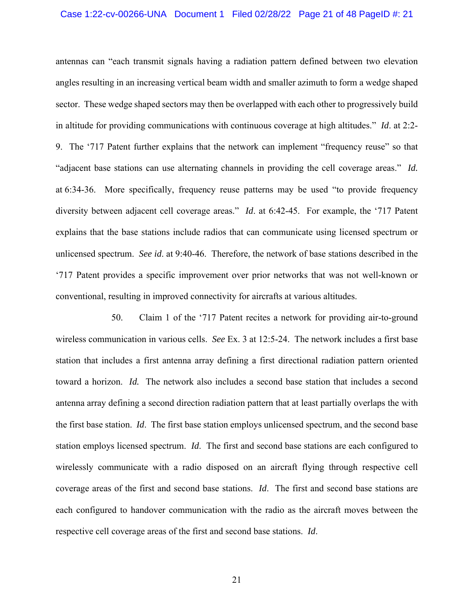#### Case 1:22-cv-00266-UNA Document 1 Filed 02/28/22 Page 21 of 48 PageID #: 21

antennas can "each transmit signals having a radiation pattern defined between two elevation angles resulting in an increasing vertical beam width and smaller azimuth to form a wedge shaped sector. These wedge shaped sectors may then be overlapped with each other to progressively build in altitude for providing communications with continuous coverage at high altitudes." *Id*. at 2:2- 9. The '717 Patent further explains that the network can implement "frequency reuse" so that "adjacent base stations can use alternating channels in providing the cell coverage areas." *Id.* at 6:34-36. More specifically, frequency reuse patterns may be used "to provide frequency diversity between adjacent cell coverage areas." *Id*. at 6:42-45. For example, the '717 Patent explains that the base stations include radios that can communicate using licensed spectrum or unlicensed spectrum. *See id*. at 9:40-46. Therefore, the network of base stations described in the '717 Patent provides a specific improvement over prior networks that was not well-known or conventional, resulting in improved connectivity for aircrafts at various altitudes.

50. Claim 1 of the '717 Patent recites a network for providing air-to-ground wireless communication in various cells. *See* Ex. 3 at 12:5-24. The network includes a first base station that includes a first antenna array defining a first directional radiation pattern oriented toward a horizon. *Id.* The network also includes a second base station that includes a second antenna array defining a second direction radiation pattern that at least partially overlaps the with the first base station. *Id*. The first base station employs unlicensed spectrum, and the second base station employs licensed spectrum. *Id*. The first and second base stations are each configured to wirelessly communicate with a radio disposed on an aircraft flying through respective cell coverage areas of the first and second base stations. *Id*. The first and second base stations are each configured to handover communication with the radio as the aircraft moves between the respective cell coverage areas of the first and second base stations. *Id*.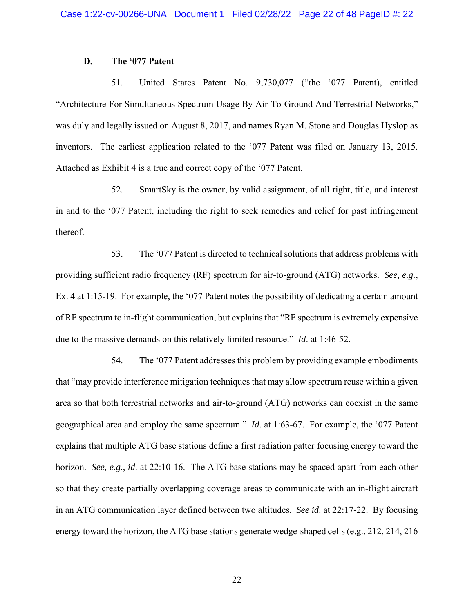### **D. The '077 Patent**

51. United States Patent No. 9,730,077 ("the '077 Patent), entitled "Architecture For Simultaneous Spectrum Usage By Air-To-Ground And Terrestrial Networks," was duly and legally issued on August 8, 2017, and names Ryan M. Stone and Douglas Hyslop as inventors. The earliest application related to the '077 Patent was filed on January 13, 2015. Attached as Exhibit 4 is a true and correct copy of the '077 Patent.

52. SmartSky is the owner, by valid assignment, of all right, title, and interest in and to the '077 Patent, including the right to seek remedies and relief for past infringement thereof.

53. The '077 Patent is directed to technical solutions that address problems with providing sufficient radio frequency (RF) spectrum for air-to-ground (ATG) networks. *See, e.g.*, Ex. 4 at 1:15-19. For example, the '077 Patent notes the possibility of dedicating a certain amount of RF spectrum to in-flight communication, but explains that "RF spectrum is extremely expensive due to the massive demands on this relatively limited resource." *Id*. at 1:46-52.

54. The '077 Patent addresses this problem by providing example embodiments that "may provide interference mitigation techniques that may allow spectrum reuse within a given area so that both terrestrial networks and air-to-ground (ATG) networks can coexist in the same geographical area and employ the same spectrum." *Id*. at 1:63-67. For example, the '077 Patent explains that multiple ATG base stations define a first radiation patter focusing energy toward the horizon. *See, e.g.*, *id*. at 22:10-16. The ATG base stations may be spaced apart from each other so that they create partially overlapping coverage areas to communicate with an in-flight aircraft in an ATG communication layer defined between two altitudes. *See id*. at 22:17-22. By focusing energy toward the horizon, the ATG base stations generate wedge-shaped cells (e.g., 212, 214, 216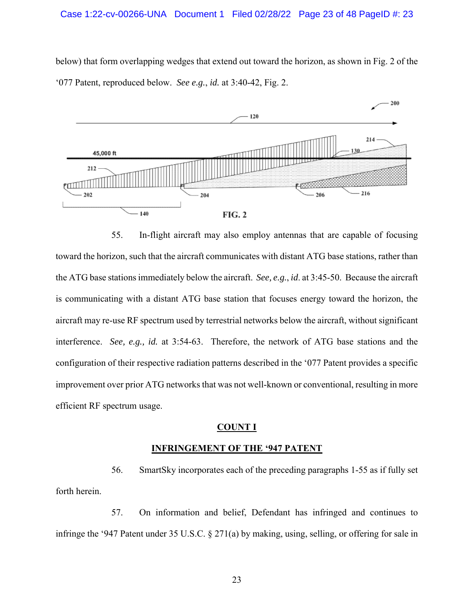below) that form overlapping wedges that extend out toward the horizon, as shown in Fig. 2 of the '077 Patent, reproduced below. *See e.g.*, *id.* at 3:40-42, Fig. 2.



55. In-flight aircraft may also employ antennas that are capable of focusing toward the horizon, such that the aircraft communicates with distant ATG base stations, rather than the ATG base stations immediately below the aircraft. *See, e.g.*, *id*. at 3:45-50. Because the aircraft is communicating with a distant ATG base station that focuses energy toward the horizon, the aircraft may re-use RF spectrum used by terrestrial networks below the aircraft, without significant interference. *See, e.g., id.* at 3:54-63. Therefore, the network of ATG base stations and the configuration of their respective radiation patterns described in the '077 Patent provides a specific improvement over prior ATG networks that was not well-known or conventional, resulting in more efficient RF spectrum usage.

### **COUNT I**

### **INFRINGEMENT OF THE '947 PATENT**

56. SmartSky incorporates each of the preceding paragraphs 1-55 as if fully set forth herein.

57. On information and belief, Defendant has infringed and continues to infringe the '947 Patent under 35 U.S.C. § 271(a) by making, using, selling, or offering for sale in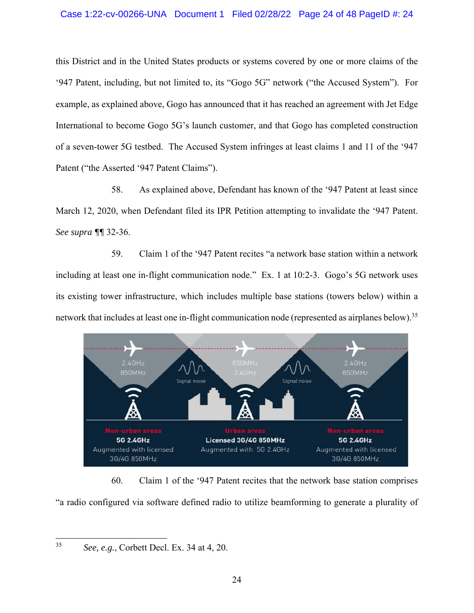## Case 1:22-cv-00266-UNA Document 1 Filed 02/28/22 Page 24 of 48 PageID #: 24

this District and in the United States products or systems covered by one or more claims of the '947 Patent, including, but not limited to, its "Gogo 5G" network ("the Accused System"). For example, as explained above, Gogo has announced that it has reached an agreement with Jet Edge International to become Gogo 5G's launch customer, and that Gogo has completed construction of a seven-tower 5G testbed. The Accused System infringes at least claims 1 and 11 of the '947 Patent ("the Asserted '947 Patent Claims").

58. As explained above, Defendant has known of the '947 Patent at least since March 12, 2020, when Defendant filed its IPR Petition attempting to invalidate the '947 Patent. *See supra ¶¶* 32-36.

59. Claim 1 of the '947 Patent recites "a network base station within a network including at least one in-flight communication node." Ex. 1 at 10:2-3. Gogo's 5G network uses its existing tower infrastructure, which includes multiple base stations (towers below) within a network that includes at least one in-flight communication node (represented as airplanes below).<sup>35</sup>



60. Claim 1 of the '947 Patent recites that the network base station comprises "a radio configured via software defined radio to utilize beamforming to generate a plurality of

<sup>35</sup> *See, e.g.*, Corbett Decl. Ex. 34 at 4, 20.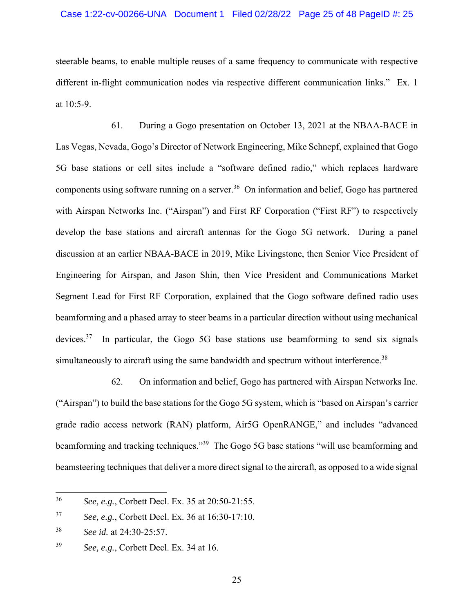### Case 1:22-cv-00266-UNA Document 1 Filed 02/28/22 Page 25 of 48 PageID #: 25

steerable beams, to enable multiple reuses of a same frequency to communicate with respective different in-flight communication nodes via respective different communication links." Ex. 1 at 10:5-9.

61. During a Gogo presentation on October 13, 2021 at the NBAA-BACE in Las Vegas, Nevada, Gogo's Director of Network Engineering, Mike Schnepf, explained that Gogo 5G base stations or cell sites include a "software defined radio," which replaces hardware components using software running on a server.<sup>36</sup> On information and belief, Gogo has partnered with Airspan Networks Inc. ("Airspan") and First RF Corporation ("First RF") to respectively develop the base stations and aircraft antennas for the Gogo 5G network. During a panel discussion at an earlier NBAA-BACE in 2019, Mike Livingstone, then Senior Vice President of Engineering for Airspan, and Jason Shin, then Vice President and Communications Market Segment Lead for First RF Corporation, explained that the Gogo software defined radio uses beamforming and a phased array to steer beams in a particular direction without using mechanical devices.<sup>37</sup> In particular, the Gogo 5G base stations use beamforming to send six signals simultaneously to aircraft using the same bandwidth and spectrum without interference.<sup>38</sup>

62. On information and belief, Gogo has partnered with Airspan Networks Inc. ("Airspan") to build the base stations for the Gogo 5G system, which is "based on Airspan's carrier grade radio access network (RAN) platform, Air5G OpenRANGE," and includes "advanced beamforming and tracking techniques."<sup>39</sup> The Gogo 5G base stations "will use beamforming and beamsteering techniques that deliver a more direct signal to the aircraft, as opposed to a wide signal

<sup>36</sup> *See, e.g.*, Corbett Decl. Ex. 35 at 20:50-21:55.

<sup>37</sup> *See, e.g.*, Corbett Decl. Ex. 36 at 16:30-17:10.

<sup>38</sup> *See id.* at 24:30-25:57.

<sup>39</sup> *See, e.g.*, Corbett Decl. Ex. 34 at 16.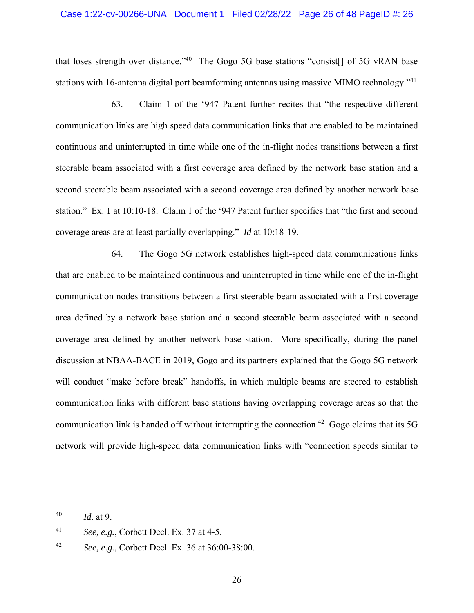### Case 1:22-cv-00266-UNA Document 1 Filed 02/28/22 Page 26 of 48 PageID #: 26

that loses strength over distance."<sup>40</sup> The Gogo 5G base stations "consist<sup>[]</sup> of 5G vRAN base stations with 16-antenna digital port beamforming antennas using massive MIMO technology."<sup>41</sup>

63. Claim 1 of the '947 Patent further recites that "the respective different communication links are high speed data communication links that are enabled to be maintained continuous and uninterrupted in time while one of the in-flight nodes transitions between a first steerable beam associated with a first coverage area defined by the network base station and a second steerable beam associated with a second coverage area defined by another network base station." Ex. 1 at 10:10-18. Claim 1 of the '947 Patent further specifies that "the first and second coverage areas are at least partially overlapping." *Id* at 10:18-19.

64. The Gogo 5G network establishes high-speed data communications links that are enabled to be maintained continuous and uninterrupted in time while one of the in-flight communication nodes transitions between a first steerable beam associated with a first coverage area defined by a network base station and a second steerable beam associated with a second coverage area defined by another network base station. More specifically, during the panel discussion at NBAA-BACE in 2019, Gogo and its partners explained that the Gogo 5G network will conduct "make before break" handoffs, in which multiple beams are steered to establish communication links with different base stations having overlapping coverage areas so that the communication link is handed off without interrupting the connection.<sup>42</sup> Gogo claims that its 5G network will provide high-speed data communication links with "connection speeds similar to

<sup>40</sup> *Id*. at 9.

<sup>41</sup> *See, e.g.*, Corbett Decl. Ex. 37 at 4-5.

<sup>42</sup> *See, e.g.*, Corbett Decl. Ex. 36 at 36:00-38:00.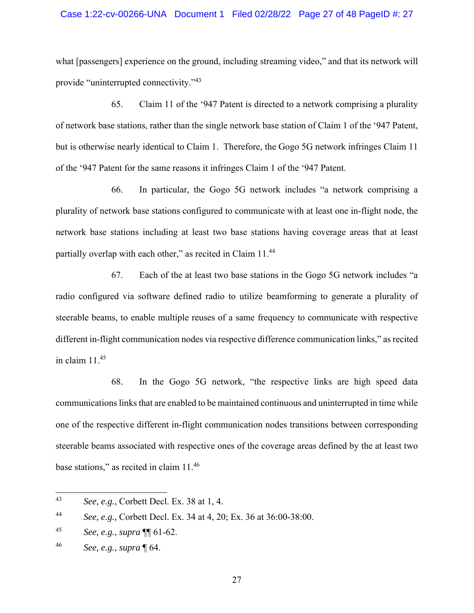### Case 1:22-cv-00266-UNA Document 1 Filed 02/28/22 Page 27 of 48 PageID #: 27

what [passengers] experience on the ground, including streaming video," and that its network will provide "uninterrupted connectivity."<sup>43</sup>

65. Claim 11 of the '947 Patent is directed to a network comprising a plurality of network base stations, rather than the single network base station of Claim 1 of the '947 Patent, but is otherwise nearly identical to Claim 1. Therefore, the Gogo 5G network infringes Claim 11 of the '947 Patent for the same reasons it infringes Claim 1 of the '947 Patent.

66. In particular, the Gogo 5G network includes "a network comprising a plurality of network base stations configured to communicate with at least one in-flight node, the network base stations including at least two base stations having coverage areas that at least partially overlap with each other," as recited in Claim 11.<sup>44</sup>

67. Each of the at least two base stations in the Gogo 5G network includes "a radio configured via software defined radio to utilize beamforming to generate a plurality of steerable beams, to enable multiple reuses of a same frequency to communicate with respective different in-flight communication nodes via respective difference communication links," as recited in claim 11.45

68. In the Gogo 5G network, "the respective links are high speed data communications links that are enabled to be maintained continuous and uninterrupted in time while one of the respective different in-flight communication nodes transitions between corresponding steerable beams associated with respective ones of the coverage areas defined by the at least two base stations," as recited in claim 11.46

<sup>43</sup> *See, e.g.*, Corbett Decl. Ex. 38 at 1, 4.

<sup>44</sup> *See, e.g.,* Corbett Decl. Ex. 34 at 4, 20; Ex. 36 at 36:00-38:00.

<sup>45</sup> *See, e.g.*, *supra* ¶¶ 61-62.

<sup>46</sup> *See, e.g.*, *supra* ¶ 64.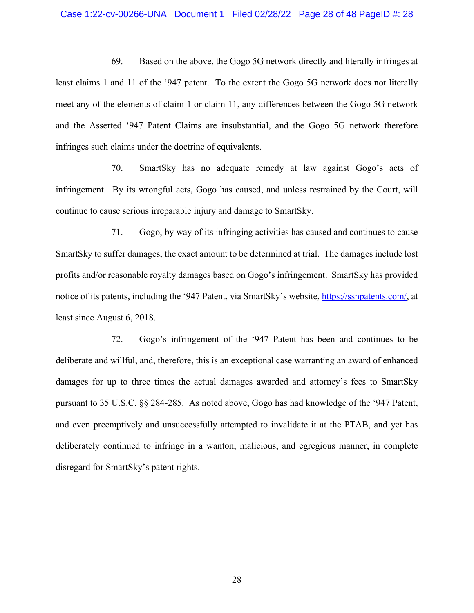#### Case 1:22-cv-00266-UNA Document 1 Filed 02/28/22 Page 28 of 48 PageID #: 28

69. Based on the above, the Gogo 5G network directly and literally infringes at least claims 1 and 11 of the '947 patent. To the extent the Gogo 5G network does not literally meet any of the elements of claim 1 or claim 11, any differences between the Gogo 5G network and the Asserted '947 Patent Claims are insubstantial, and the Gogo 5G network therefore infringes such claims under the doctrine of equivalents.

70. SmartSky has no adequate remedy at law against Gogo's acts of infringement. By its wrongful acts, Gogo has caused, and unless restrained by the Court, will continue to cause serious irreparable injury and damage to SmartSky.

71. Gogo, by way of its infringing activities has caused and continues to cause SmartSky to suffer damages, the exact amount to be determined at trial. The damages include lost profits and/or reasonable royalty damages based on Gogo's infringement. SmartSky has provided notice of its patents, including the '947 Patent, via SmartSky's website, https://ssnpatents.com/, at least since August 6, 2018.

72. Gogo's infringement of the '947 Patent has been and continues to be deliberate and willful, and, therefore, this is an exceptional case warranting an award of enhanced damages for up to three times the actual damages awarded and attorney's fees to SmartSky pursuant to 35 U.S.C. §§ 284-285. As noted above, Gogo has had knowledge of the '947 Patent, and even preemptively and unsuccessfully attempted to invalidate it at the PTAB, and yet has deliberately continued to infringe in a wanton, malicious, and egregious manner, in complete disregard for SmartSky's patent rights.

28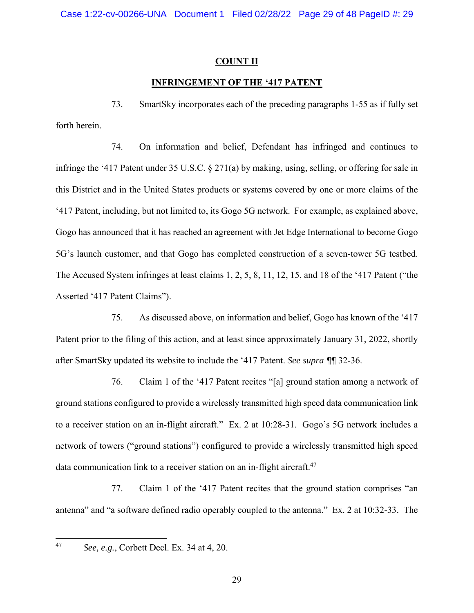# **COUNT II**

# **INFRINGEMENT OF THE '417 PATENT**

73. SmartSky incorporates each of the preceding paragraphs 1-55 as if fully set forth herein.

74. On information and belief, Defendant has infringed and continues to infringe the '417 Patent under 35 U.S.C. § 271(a) by making, using, selling, or offering for sale in this District and in the United States products or systems covered by one or more claims of the '417 Patent, including, but not limited to, its Gogo 5G network. For example, as explained above, Gogo has announced that it has reached an agreement with Jet Edge International to become Gogo 5G's launch customer, and that Gogo has completed construction of a seven-tower 5G testbed. The Accused System infringes at least claims 1, 2, 5, 8, 11, 12, 15, and 18 of the '417 Patent ("the Asserted '417 Patent Claims").

75. As discussed above, on information and belief, Gogo has known of the '417 Patent prior to the filing of this action, and at least since approximately January 31, 2022, shortly after SmartSky updated its website to include the '417 Patent. *See supra ¶¶* 32-36.

76. Claim 1 of the '417 Patent recites "[a] ground station among a network of ground stations configured to provide a wirelessly transmitted high speed data communication link to a receiver station on an in-flight aircraft." Ex. 2 at 10:28-31. Gogo's 5G network includes a network of towers ("ground stations") configured to provide a wirelessly transmitted high speed data communication link to a receiver station on an in-flight aircraft.<sup>47</sup>

77. Claim 1 of the '417 Patent recites that the ground station comprises "an antenna" and "a software defined radio operably coupled to the antenna." Ex. 2 at 10:32-33. The

<sup>47</sup> *See, e.g.*, Corbett Decl. Ex. 34 at 4, 20.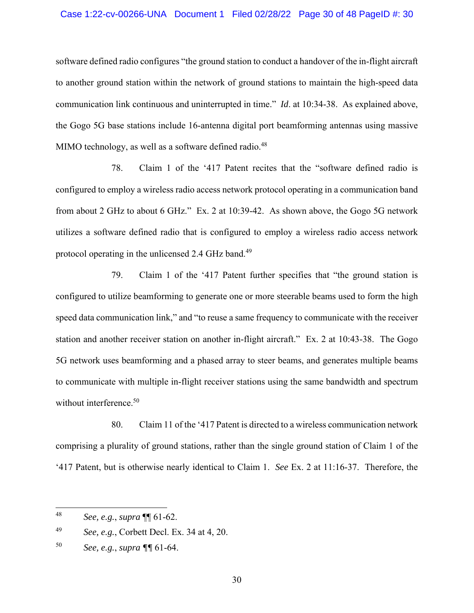### Case 1:22-cv-00266-UNA Document 1 Filed 02/28/22 Page 30 of 48 PageID #: 30

software defined radio configures "the ground station to conduct a handover of the in-flight aircraft to another ground station within the network of ground stations to maintain the high-speed data communication link continuous and uninterrupted in time." *Id*. at 10:34-38. As explained above, the Gogo 5G base stations include 16-antenna digital port beamforming antennas using massive MIMO technology, as well as a software defined radio.<sup>48</sup>

78. Claim 1 of the '417 Patent recites that the "software defined radio is configured to employ a wireless radio access network protocol operating in a communication band from about 2 GHz to about 6 GHz." Ex. 2 at 10:39-42. As shown above, the Gogo 5G network utilizes a software defined radio that is configured to employ a wireless radio access network protocol operating in the unlicensed 2.4 GHz band.<sup>49</sup>

79. Claim 1 of the '417 Patent further specifies that "the ground station is configured to utilize beamforming to generate one or more steerable beams used to form the high speed data communication link," and "to reuse a same frequency to communicate with the receiver station and another receiver station on another in-flight aircraft." Ex. 2 at 10:43-38. The Gogo 5G network uses beamforming and a phased array to steer beams, and generates multiple beams to communicate with multiple in-flight receiver stations using the same bandwidth and spectrum without interference.<sup>50</sup>

80. Claim 11 of the '417 Patent is directed to a wireless communication network comprising a plurality of ground stations, rather than the single ground station of Claim 1 of the '417 Patent, but is otherwise nearly identical to Claim 1. *See* Ex. 2 at 11:16-37. Therefore, the

<sup>48</sup> *See, e.g.*, *supra* ¶¶ 61-62.

<sup>49</sup> *See, e.g.*, Corbett Decl. Ex. 34 at 4, 20.

<sup>50</sup> *See, e.g.*, *supra ¶¶* 61-64.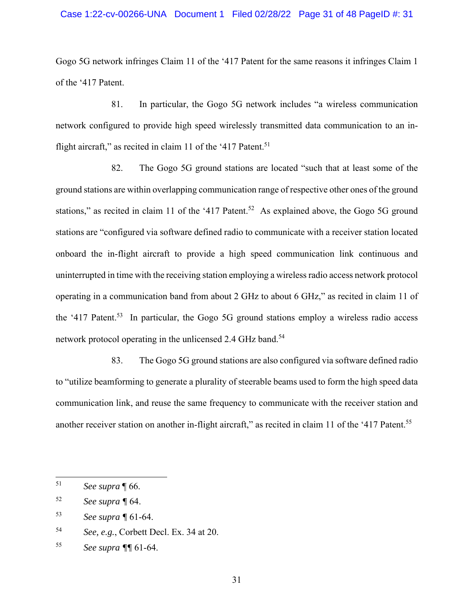### Case 1:22-cv-00266-UNA Document 1 Filed 02/28/22 Page 31 of 48 PageID #: 31

Gogo 5G network infringes Claim 11 of the '417 Patent for the same reasons it infringes Claim 1 of the '417 Patent.

81. In particular, the Gogo 5G network includes "a wireless communication network configured to provide high speed wirelessly transmitted data communication to an inflight aircraft," as recited in claim 11 of the '417 Patent.<sup>51</sup>

82. The Gogo 5G ground stations are located "such that at least some of the ground stations are within overlapping communication range of respective other ones of the ground stations," as recited in claim 11 of the '417 Patent.<sup>52</sup> As explained above, the Gogo 5G ground stations are "configured via software defined radio to communicate with a receiver station located onboard the in-flight aircraft to provide a high speed communication link continuous and uninterrupted in time with the receiving station employing a wireless radio access network protocol operating in a communication band from about 2 GHz to about 6 GHz," as recited in claim 11 of the '417 Patent.<sup>53</sup> In particular, the Gogo 5G ground stations employ a wireless radio access network protocol operating in the unlicensed 2.4 GHz band.<sup>54</sup>

83. The Gogo 5G ground stations are also configured via software defined radio to "utilize beamforming to generate a plurality of steerable beams used to form the high speed data communication link, and reuse the same frequency to communicate with the receiver station and another receiver station on another in-flight aircraft," as recited in claim 11 of the '417 Patent.<sup>55</sup>

<sup>51</sup> *See supra* ¶ 66.

<sup>52</sup> *See supra ¶* 64.

<sup>53</sup> *See supra ¶* 61-64.

<sup>54</sup> *See, e.g.*, Corbett Decl. Ex. 34 at 20.

<sup>55</sup> *See supra ¶¶* 61-64.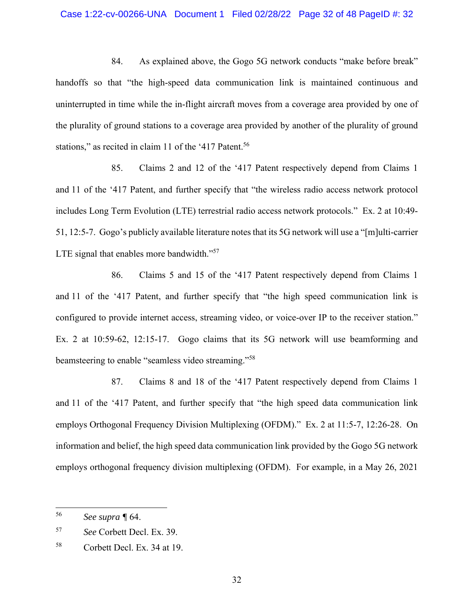### Case 1:22-cv-00266-UNA Document 1 Filed 02/28/22 Page 32 of 48 PageID #: 32

84. As explained above, the Gogo 5G network conducts "make before break" handoffs so that "the high-speed data communication link is maintained continuous and uninterrupted in time while the in-flight aircraft moves from a coverage area provided by one of the plurality of ground stations to a coverage area provided by another of the plurality of ground stations," as recited in claim 11 of the '417 Patent.<sup>56</sup>

85. Claims 2 and 12 of the '417 Patent respectively depend from Claims 1 and 11 of the '417 Patent, and further specify that "the wireless radio access network protocol includes Long Term Evolution (LTE) terrestrial radio access network protocols." Ex. 2 at 10:49- 51, 12:5-7. Gogo's publicly available literature notes that its 5G network will use a "[m]ulti-carrier LTE signal that enables more bandwidth."<sup>57</sup>

86. Claims 5 and 15 of the '417 Patent respectively depend from Claims 1 and 11 of the '417 Patent, and further specify that "the high speed communication link is configured to provide internet access, streaming video, or voice-over IP to the receiver station." Ex. 2 at 10:59-62, 12:15-17. Gogo claims that its 5G network will use beamforming and beamsteering to enable "seamless video streaming."58

87. Claims 8 and 18 of the '417 Patent respectively depend from Claims 1 and 11 of the '417 Patent, and further specify that "the high speed data communication link employs Orthogonal Frequency Division Multiplexing (OFDM)." Ex. 2 at 11:5-7, 12:26-28. On information and belief, the high speed data communication link provided by the Gogo 5G network employs orthogonal frequency division multiplexing (OFDM). For example, in a May 26, 2021

<sup>56</sup> *See supra ¶* 64.

<sup>57</sup> *See* Corbett Decl. Ex. 39.

<sup>58</sup> Corbett Decl. Ex. 34 at 19.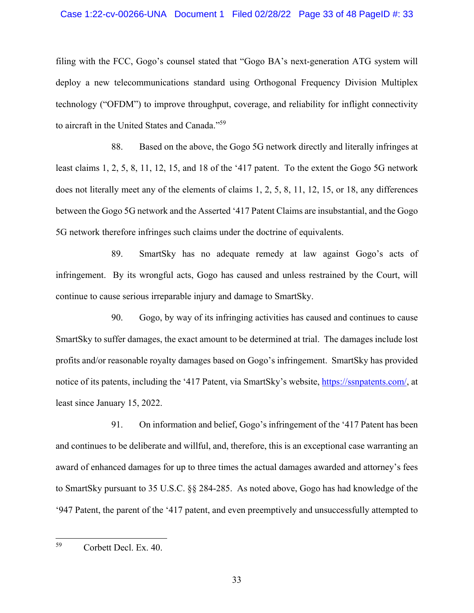filing with the FCC, Gogo's counsel stated that "Gogo BA's next-generation ATG system will deploy a new telecommunications standard using Orthogonal Frequency Division Multiplex technology ("OFDM") to improve throughput, coverage, and reliability for inflight connectivity to aircraft in the United States and Canada."59

88. Based on the above, the Gogo 5G network directly and literally infringes at least claims 1, 2, 5, 8, 11, 12, 15, and 18 of the '417 patent. To the extent the Gogo 5G network does not literally meet any of the elements of claims 1, 2, 5, 8, 11, 12, 15, or 18, any differences between the Gogo 5G network and the Asserted '417 Patent Claims are insubstantial, and the Gogo 5G network therefore infringes such claims under the doctrine of equivalents.

89. SmartSky has no adequate remedy at law against Gogo's acts of infringement. By its wrongful acts, Gogo has caused and unless restrained by the Court, will continue to cause serious irreparable injury and damage to SmartSky.

90. Gogo, by way of its infringing activities has caused and continues to cause SmartSky to suffer damages, the exact amount to be determined at trial. The damages include lost profits and/or reasonable royalty damages based on Gogo's infringement. SmartSky has provided notice of its patents, including the '417 Patent, via SmartSky's website, https://ssnpatents.com/, at least since January 15, 2022.

91. On information and belief, Gogo's infringement of the '417 Patent has been and continues to be deliberate and willful, and, therefore, this is an exceptional case warranting an award of enhanced damages for up to three times the actual damages awarded and attorney's fees to SmartSky pursuant to 35 U.S.C. §§ 284-285. As noted above, Gogo has had knowledge of the '947 Patent, the parent of the '417 patent, and even preemptively and unsuccessfully attempted to

<sup>59</sup> Corbett Decl. Ex. 40.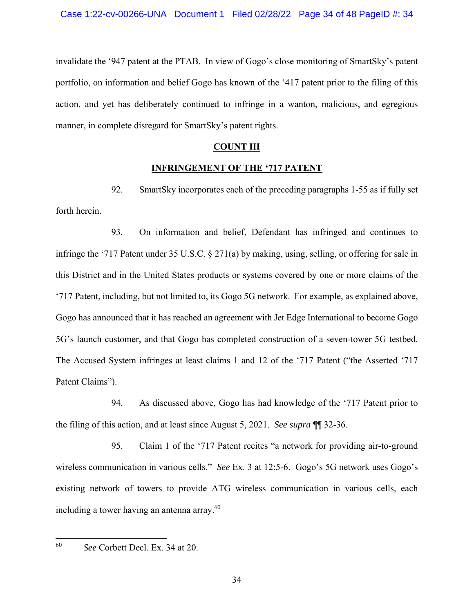invalidate the '947 patent at the PTAB. In view of Gogo's close monitoring of SmartSky's patent portfolio, on information and belief Gogo has known of the '417 patent prior to the filing of this action, and yet has deliberately continued to infringe in a wanton, malicious, and egregious manner, in complete disregard for SmartSky's patent rights.

# **COUNT III**

# **INFRINGEMENT OF THE '717 PATENT**

92. SmartSky incorporates each of the preceding paragraphs 1-55 as if fully set forth herein.

93. On information and belief, Defendant has infringed and continues to infringe the '717 Patent under 35 U.S.C. § 271(a) by making, using, selling, or offering for sale in this District and in the United States products or systems covered by one or more claims of the '717 Patent, including, but not limited to, its Gogo 5G network. For example, as explained above, Gogo has announced that it has reached an agreement with Jet Edge International to become Gogo 5G's launch customer, and that Gogo has completed construction of a seven-tower 5G testbed. The Accused System infringes at least claims 1 and 12 of the '717 Patent ("the Asserted '717 Patent Claims").

94. As discussed above, Gogo has had knowledge of the '717 Patent prior to the filing of this action, and at least since August 5, 2021. *See supra* ¶¶ 32-36.

95. Claim 1 of the '717 Patent recites "a network for providing air-to-ground wireless communication in various cells." *See* Ex. 3 at 12:5-6. Gogo's 5G network uses Gogo's existing network of towers to provide ATG wireless communication in various cells, each including a tower having an antenna array. $60$ 

<sup>60</sup> *See* Corbett Decl. Ex. 34 at 20.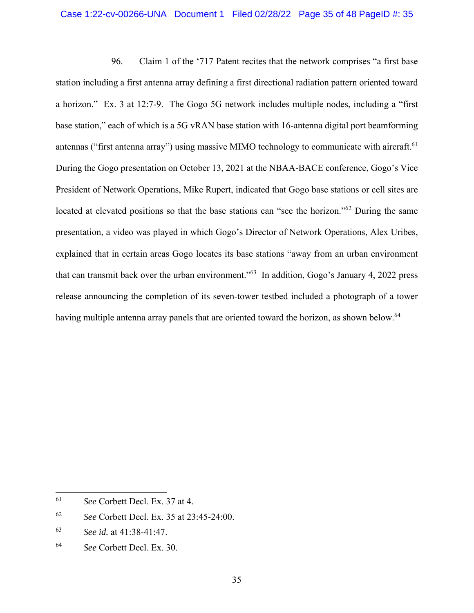### Case 1:22-cv-00266-UNA Document 1 Filed 02/28/22 Page 35 of 48 PageID #: 35

96. Claim 1 of the '717 Patent recites that the network comprises "a first base station including a first antenna array defining a first directional radiation pattern oriented toward a horizon." Ex. 3 at 12:7-9. The Gogo 5G network includes multiple nodes, including a "first base station," each of which is a 5G vRAN base station with 16-antenna digital port beamforming antennas ("first antenna array") using massive MIMO technology to communicate with aircraft.<sup>61</sup> During the Gogo presentation on October 13, 2021 at the NBAA-BACE conference, Gogo's Vice President of Network Operations, Mike Rupert, indicated that Gogo base stations or cell sites are located at elevated positions so that the base stations can "see the horizon."<sup>62</sup> During the same presentation, a video was played in which Gogo's Director of Network Operations, Alex Uribes, explained that in certain areas Gogo locates its base stations "away from an urban environment that can transmit back over the urban environment."63 In addition, Gogo's January 4, 2022 press release announcing the completion of its seven-tower testbed included a photograph of a tower having multiple antenna array panels that are oriented toward the horizon, as shown below.<sup>64</sup>

<sup>61</sup> *See* Corbett Decl. Ex. 37 at 4.

<sup>62</sup> *See* Corbett Decl. Ex. 35 at 23:45-24:00.

<sup>63</sup> *See id.* at 41:38-41:47.

<sup>64</sup> *See* Corbett Decl. Ex. 30.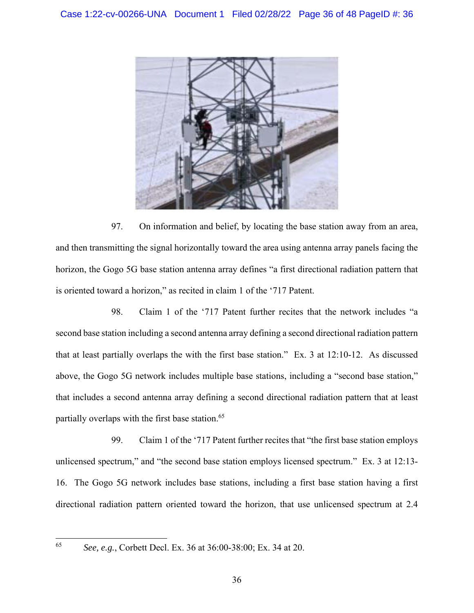

97. On information and belief, by locating the base station away from an area, and then transmitting the signal horizontally toward the area using antenna array panels facing the horizon, the Gogo 5G base station antenna array defines "a first directional radiation pattern that is oriented toward a horizon," as recited in claim 1 of the '717 Patent.

98. Claim 1 of the '717 Patent further recites that the network includes "a second base station including a second antenna array defining a second directional radiation pattern that at least partially overlaps the with the first base station." Ex. 3 at 12:10-12. As discussed above, the Gogo 5G network includes multiple base stations, including a "second base station," that includes a second antenna array defining a second directional radiation pattern that at least partially overlaps with the first base station.<sup>65</sup>

99. Claim 1 of the '717 Patent further recites that "the first base station employs unlicensed spectrum," and "the second base station employs licensed spectrum." Ex. 3 at 12:13- 16. The Gogo 5G network includes base stations, including a first base station having a first directional radiation pattern oriented toward the horizon, that use unlicensed spectrum at 2.4

<sup>65</sup> *See, e.g.*, Corbett Decl. Ex. 36 at 36:00-38:00; Ex. 34 at 20.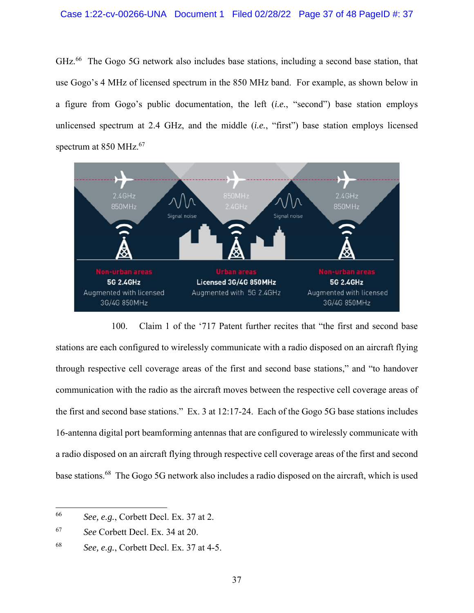GHz.<sup>66</sup> The Gogo 5G network also includes base stations, including a second base station, that use Gogo's 4 MHz of licensed spectrum in the 850 MHz band. For example, as shown below in a figure from Gogo's public documentation, the left (*i.e.*, "second") base station employs unlicensed spectrum at 2.4 GHz, and the middle (*i.e.*, "first") base station employs licensed spectrum at 850 MHz.<sup>67</sup>



100. Claim 1 of the '717 Patent further recites that "the first and second base stations are each configured to wirelessly communicate with a radio disposed on an aircraft flying through respective cell coverage areas of the first and second base stations," and "to handover communication with the radio as the aircraft moves between the respective cell coverage areas of the first and second base stations." Ex. 3 at 12:17-24. Each of the Gogo 5G base stations includes 16-antenna digital port beamforming antennas that are configured to wirelessly communicate with a radio disposed on an aircraft flying through respective cell coverage areas of the first and second base stations.68 The Gogo 5G network also includes a radio disposed on the aircraft, which is used

<sup>66</sup> *See, e.g.*, Corbett Decl. Ex. 37 at 2.

<sup>67</sup> *See* Corbett Decl. Ex. 34 at 20.

<sup>68</sup> *See, e.g.*, Corbett Decl. Ex. 37 at 4-5.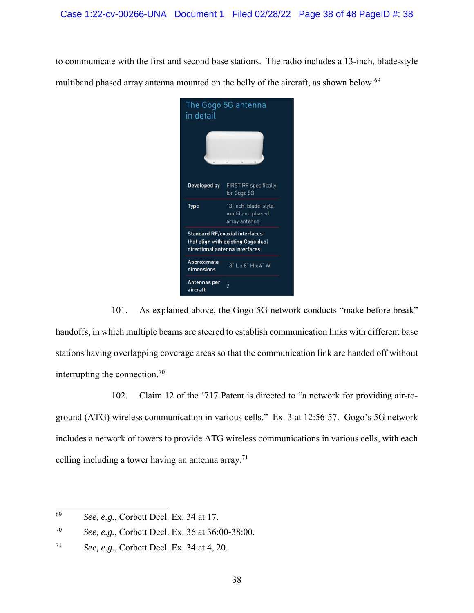to communicate with the first and second base stations. The radio includes a 13-inch, blade-style multiband phased array antenna mounted on the belly of the aircraft, as shown below.<sup>69</sup>



101. As explained above, the Gogo 5G network conducts "make before break" handoffs, in which multiple beams are steered to establish communication links with different base stations having overlapping coverage areas so that the communication link are handed off without interrupting the connection. $70$ 

102. Claim 12 of the '717 Patent is directed to "a network for providing air-toground (ATG) wireless communication in various cells." Ex. 3 at 12:56-57. Gogo's 5G network includes a network of towers to provide ATG wireless communications in various cells, with each celling including a tower having an antenna array.<sup>71</sup>

<sup>69</sup> *See, e.g.*, Corbett Decl. Ex. 34 at 17.

<sup>70</sup> *See, e.g.*, Corbett Decl. Ex. 36 at 36:00-38:00.

<sup>71</sup> *See, e.g.*, Corbett Decl. Ex. 34 at 4, 20.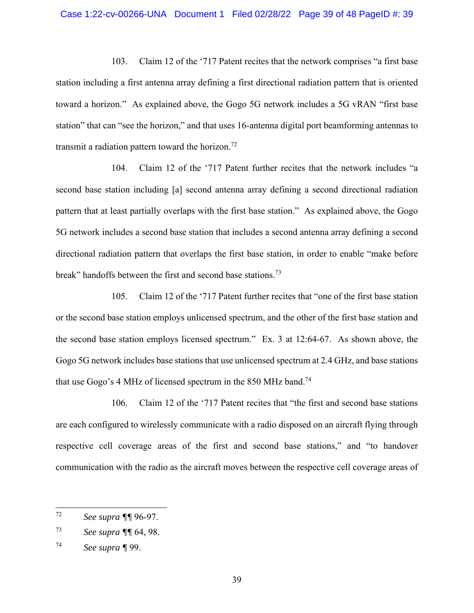103. Claim 12 of the '717 Patent recites that the network comprises "a first base station including a first antenna array defining a first directional radiation pattern that is oriented toward a horizon." As explained above, the Gogo 5G network includes a 5G vRAN "first base station" that can "see the horizon," and that uses 16-antenna digital port beamforming antennas to transmit a radiation pattern toward the horizon.<sup>72</sup>

104. Claim 12 of the '717 Patent further recites that the network includes "a second base station including [a] second antenna array defining a second directional radiation pattern that at least partially overlaps with the first base station." As explained above, the Gogo 5G network includes a second base station that includes a second antenna array defining a second directional radiation pattern that overlaps the first base station, in order to enable "make before break" handoffs between the first and second base stations.<sup>73</sup>

105. Claim 12 of the '717 Patent further recites that "one of the first base station or the second base station employs unlicensed spectrum, and the other of the first base station and the second base station employs licensed spectrum." Ex. 3 at 12:64-67. As shown above, the Gogo 5G network includes base stations that use unlicensed spectrum at 2.4 GHz, and base stations that use Gogo's 4 MHz of licensed spectrum in the 850 MHz band.<sup>74</sup>

106. Claim 12 of the '717 Patent recites that "the first and second base stations are each configured to wirelessly communicate with a radio disposed on an aircraft flying through respective cell coverage areas of the first and second base stations," and "to handover communication with the radio as the aircraft moves between the respective cell coverage areas of

<sup>72</sup> *See supra ¶¶* 96-97.

<sup>73</sup> *See supra ¶¶* 64, 98.

<sup>74</sup> *See supra ¶* 99.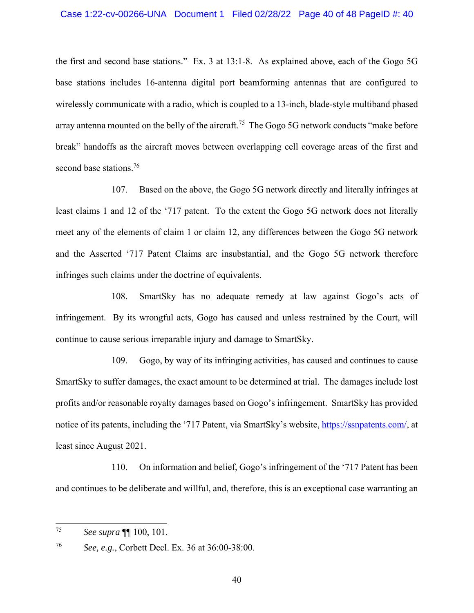the first and second base stations." Ex. 3 at 13:1-8. As explained above, each of the Gogo 5G base stations includes 16-antenna digital port beamforming antennas that are configured to wirelessly communicate with a radio, which is coupled to a 13-inch, blade-style multiband phased array antenna mounted on the belly of the aircraft.<sup>75</sup> The Gogo 5G network conducts "make before" break" handoffs as the aircraft moves between overlapping cell coverage areas of the first and second base stations.<sup>76</sup>

107. Based on the above, the Gogo 5G network directly and literally infringes at least claims 1 and 12 of the '717 patent. To the extent the Gogo 5G network does not literally meet any of the elements of claim 1 or claim 12, any differences between the Gogo 5G network and the Asserted '717 Patent Claims are insubstantial, and the Gogo 5G network therefore infringes such claims under the doctrine of equivalents.

108. SmartSky has no adequate remedy at law against Gogo's acts of infringement. By its wrongful acts, Gogo has caused and unless restrained by the Court, will continue to cause serious irreparable injury and damage to SmartSky.

109. Gogo, by way of its infringing activities, has caused and continues to cause SmartSky to suffer damages, the exact amount to be determined at trial. The damages include lost profits and/or reasonable royalty damages based on Gogo's infringement. SmartSky has provided notice of its patents, including the '717 Patent, via SmartSky's website, https://ssnpatents.com/, at least since August 2021.

110. On information and belief, Gogo's infringement of the '717 Patent has been and continues to be deliberate and willful, and, therefore, this is an exceptional case warranting an

76 *See, e.g.*, Corbett Decl. Ex. 36 at 36:00-38:00.

<sup>75</sup> *See supra* ¶¶ 100, 101.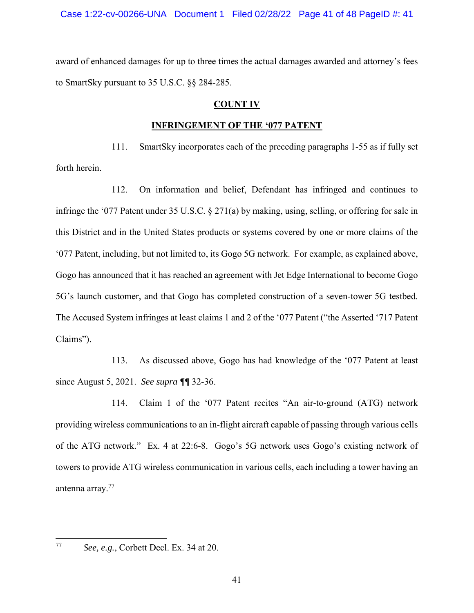award of enhanced damages for up to three times the actual damages awarded and attorney's fees to SmartSky pursuant to 35 U.S.C. §§ 284-285.

# **COUNT IV**

## **INFRINGEMENT OF THE '077 PATENT**

111. SmartSky incorporates each of the preceding paragraphs 1-55 as if fully set forth herein.

112. On information and belief, Defendant has infringed and continues to infringe the '077 Patent under 35 U.S.C. § 271(a) by making, using, selling, or offering for sale in this District and in the United States products or systems covered by one or more claims of the '077 Patent, including, but not limited to, its Gogo 5G network. For example, as explained above, Gogo has announced that it has reached an agreement with Jet Edge International to become Gogo 5G's launch customer, and that Gogo has completed construction of a seven-tower 5G testbed. The Accused System infringes at least claims 1 and 2 of the '077 Patent ("the Asserted '717 Patent Claims").

113. As discussed above, Gogo has had knowledge of the '077 Patent at least since August 5, 2021. *See supra ¶¶* 32-36.

114. Claim 1 of the '077 Patent recites "An air-to-ground (ATG) network providing wireless communications to an in-flight aircraft capable of passing through various cells of the ATG network." Ex. 4 at 22:6-8. Gogo's 5G network uses Gogo's existing network of towers to provide ATG wireless communication in various cells, each including a tower having an antenna array.77

<sup>77</sup> *See, e.g.*, Corbett Decl. Ex. 34 at 20.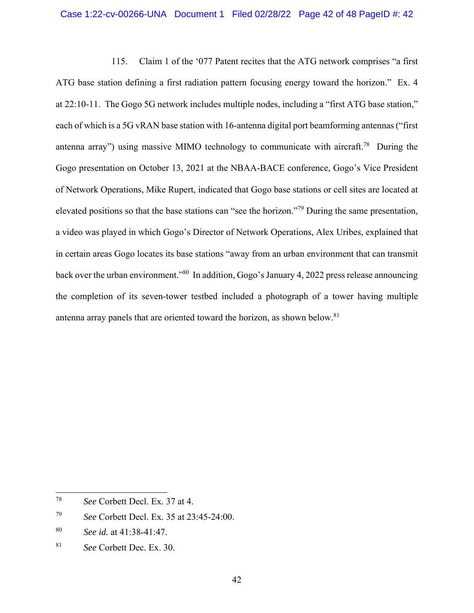### Case 1:22-cv-00266-UNA Document 1 Filed 02/28/22 Page 42 of 48 PageID #: 42

115. Claim 1 of the '077 Patent recites that the ATG network comprises "a first ATG base station defining a first radiation pattern focusing energy toward the horizon." Ex. 4 at 22:10-11. The Gogo 5G network includes multiple nodes, including a "first ATG base station," each of which is a 5G vRAN base station with 16-antenna digital port beamforming antennas ("first antenna array") using massive MIMO technology to communicate with aircraft.<sup>78</sup> During the Gogo presentation on October 13, 2021 at the NBAA-BACE conference, Gogo's Vice President of Network Operations, Mike Rupert, indicated that Gogo base stations or cell sites are located at elevated positions so that the base stations can "see the horizon."79 During the same presentation, a video was played in which Gogo's Director of Network Operations, Alex Uribes, explained that in certain areas Gogo locates its base stations "away from an urban environment that can transmit back over the urban environment."80 In addition, Gogo's January 4, 2022 press release announcing the completion of its seven-tower testbed included a photograph of a tower having multiple antenna array panels that are oriented toward the horizon, as shown below.<sup>81</sup>

<sup>78</sup> *See* Corbett Decl. Ex. 37 at 4.

<sup>79</sup> *See* Corbett Decl. Ex. 35 at 23:45-24:00.

<sup>80</sup> *See id.* at 41:38-41:47.

<sup>81</sup> *See* Corbett Dec. Ex. 30.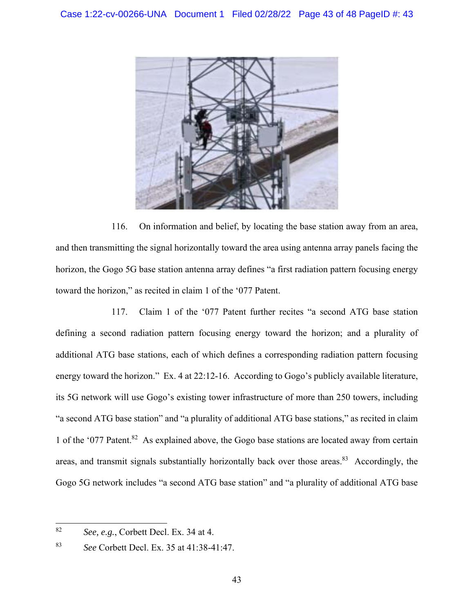

116. On information and belief, by locating the base station away from an area, and then transmitting the signal horizontally toward the area using antenna array panels facing the horizon, the Gogo 5G base station antenna array defines "a first radiation pattern focusing energy toward the horizon," as recited in claim 1 of the '077 Patent.

117. Claim 1 of the '077 Patent further recites "a second ATG base station defining a second radiation pattern focusing energy toward the horizon; and a plurality of additional ATG base stations, each of which defines a corresponding radiation pattern focusing energy toward the horizon." Ex. 4 at 22:12-16. According to Gogo's publicly available literature, its 5G network will use Gogo's existing tower infrastructure of more than 250 towers, including "a second ATG base station" and "a plurality of additional ATG base stations," as recited in claim 1 of the '077 Patent.82 As explained above, the Gogo base stations are located away from certain areas, and transmit signals substantially horizontally back over those areas. $83$  Accordingly, the Gogo 5G network includes "a second ATG base station" and "a plurality of additional ATG base

<sup>82</sup> *See, e.g.*, Corbett Decl. Ex. 34 at 4.

<sup>83</sup> *See* Corbett Decl. Ex. 35 at 41:38-41:47.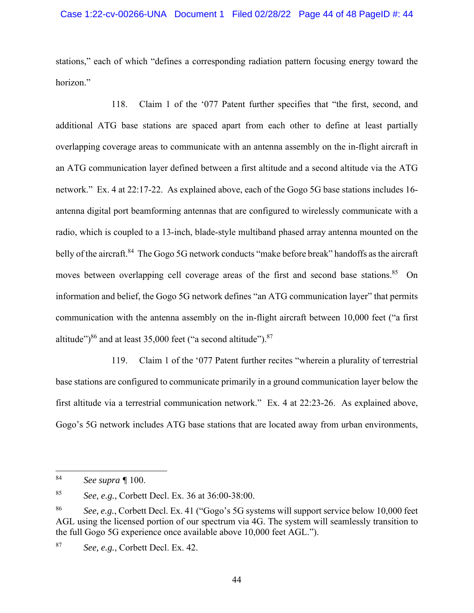stations," each of which "defines a corresponding radiation pattern focusing energy toward the horizon."

118. Claim 1 of the '077 Patent further specifies that "the first, second, and additional ATG base stations are spaced apart from each other to define at least partially overlapping coverage areas to communicate with an antenna assembly on the in-flight aircraft in an ATG communication layer defined between a first altitude and a second altitude via the ATG network." Ex. 4 at 22:17-22. As explained above, each of the Gogo 5G base stations includes 16 antenna digital port beamforming antennas that are configured to wirelessly communicate with a radio, which is coupled to a 13-inch, blade-style multiband phased array antenna mounted on the belly of the aircraft.<sup>84</sup> The Gogo 5G network conducts "make before break" handoffs as the aircraft moves between overlapping cell coverage areas of the first and second base stations.<sup>85</sup> On information and belief, the Gogo 5G network defines "an ATG communication layer" that permits communication with the antenna assembly on the in-flight aircraft between 10,000 feet ("a first altitude") $86$  and at least 35,000 feet ("a second altitude"). $87$ 

119. Claim 1 of the '077 Patent further recites "wherein a plurality of terrestrial base stations are configured to communicate primarily in a ground communication layer below the first altitude via a terrestrial communication network." Ex. 4 at 22:23-26. As explained above, Gogo's 5G network includes ATG base stations that are located away from urban environments,

<sup>84</sup> *See supra ¶* 100.

<sup>85</sup> *See, e.g.*, Corbett Decl. Ex. 36 at 36:00-38:00.

<sup>86</sup> *See, e.g.*, Corbett Decl. Ex. 41 ("Gogo's 5G systems will support service below 10,000 feet AGL using the licensed portion of our spectrum via 4G. The system will seamlessly transition to the full Gogo 5G experience once available above 10,000 feet AGL.").

<sup>87</sup> *See, e.g.*, Corbett Decl. Ex. 42.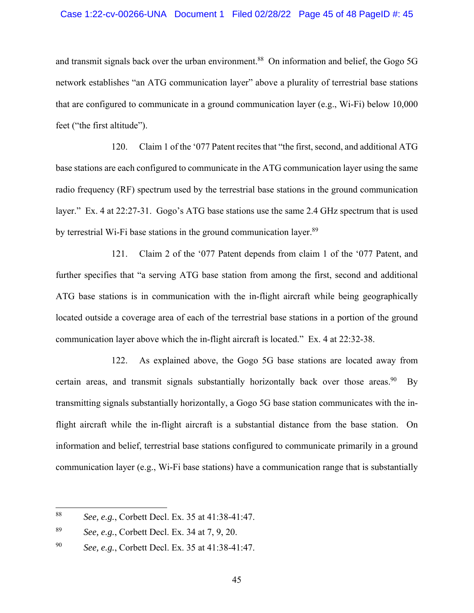#### Case 1:22-cv-00266-UNA Document 1 Filed 02/28/22 Page 45 of 48 PageID #: 45

and transmit signals back over the urban environment.<sup>88</sup> On information and belief, the Gogo 5G network establishes "an ATG communication layer" above a plurality of terrestrial base stations that are configured to communicate in a ground communication layer (e.g., Wi-Fi) below 10,000 feet ("the first altitude").

120. Claim 1 of the '077 Patent recites that "the first, second, and additional ATG base stations are each configured to communicate in the ATG communication layer using the same radio frequency (RF) spectrum used by the terrestrial base stations in the ground communication layer." Ex. 4 at 22:27-31. Gogo's ATG base stations use the same 2.4 GHz spectrum that is used by terrestrial Wi-Fi base stations in the ground communication layer.<sup>89</sup>

121. Claim 2 of the '077 Patent depends from claim 1 of the '077 Patent, and further specifies that "a serving ATG base station from among the first, second and additional ATG base stations is in communication with the in-flight aircraft while being geographically located outside a coverage area of each of the terrestrial base stations in a portion of the ground communication layer above which the in-flight aircraft is located." Ex. 4 at 22:32-38.

122. As explained above, the Gogo 5G base stations are located away from certain areas, and transmit signals substantially horizontally back over those areas. <sup>90</sup> By transmitting signals substantially horizontally, a Gogo 5G base station communicates with the inflight aircraft while the in-flight aircraft is a substantial distance from the base station. On information and belief, terrestrial base stations configured to communicate primarily in a ground communication layer (e.g., Wi-Fi base stations) have a communication range that is substantially

<sup>88</sup> *See, e.g.*, Corbett Decl. Ex. 35 at 41:38-41:47.

<sup>89</sup> *See, e.g.*, Corbett Decl. Ex. 34 at 7, 9, 20.

<sup>90</sup> *See, e.g.*, Corbett Decl. Ex. 35 at 41:38-41:47.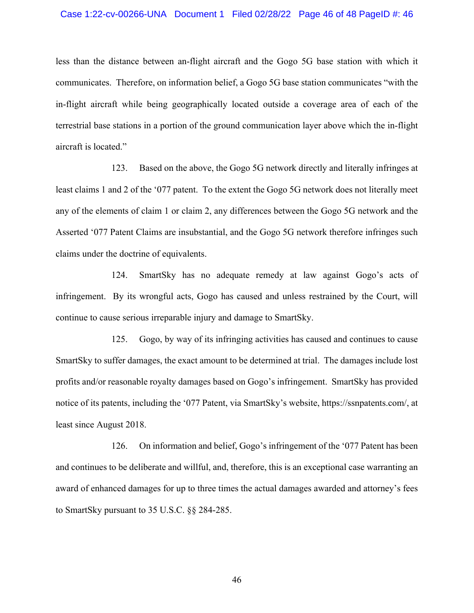#### Case 1:22-cv-00266-UNA Document 1 Filed 02/28/22 Page 46 of 48 PageID #: 46

less than the distance between an-flight aircraft and the Gogo 5G base station with which it communicates. Therefore, on information belief, a Gogo 5G base station communicates "with the in-flight aircraft while being geographically located outside a coverage area of each of the terrestrial base stations in a portion of the ground communication layer above which the in-flight aircraft is located."

123. Based on the above, the Gogo 5G network directly and literally infringes at least claims 1 and 2 of the '077 patent. To the extent the Gogo 5G network does not literally meet any of the elements of claim 1 or claim 2, any differences between the Gogo 5G network and the Asserted '077 Patent Claims are insubstantial, and the Gogo 5G network therefore infringes such claims under the doctrine of equivalents.

124. SmartSky has no adequate remedy at law against Gogo's acts of infringement. By its wrongful acts, Gogo has caused and unless restrained by the Court, will continue to cause serious irreparable injury and damage to SmartSky.

125. Gogo, by way of its infringing activities has caused and continues to cause SmartSky to suffer damages, the exact amount to be determined at trial. The damages include lost profits and/or reasonable royalty damages based on Gogo's infringement. SmartSky has provided notice of its patents, including the '077 Patent, via SmartSky's website, https://ssnpatents.com/, at least since August 2018.

126. On information and belief, Gogo's infringement of the '077 Patent has been and continues to be deliberate and willful, and, therefore, this is an exceptional case warranting an award of enhanced damages for up to three times the actual damages awarded and attorney's fees to SmartSky pursuant to 35 U.S.C. §§ 284-285.

46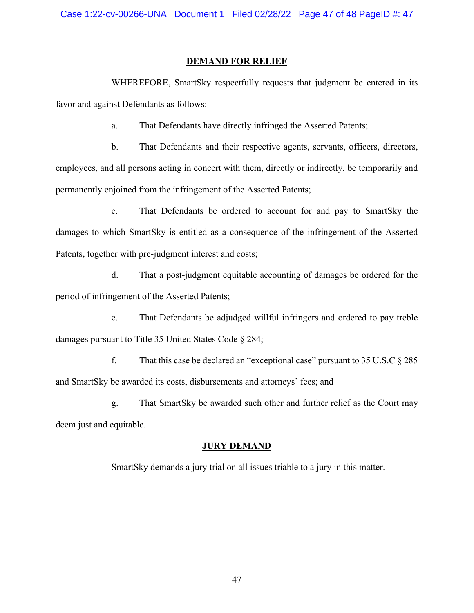## **DEMAND FOR RELIEF**

WHEREFORE, SmartSky respectfully requests that judgment be entered in its favor and against Defendants as follows:

a. That Defendants have directly infringed the Asserted Patents;

b. That Defendants and their respective agents, servants, officers, directors, employees, and all persons acting in concert with them, directly or indirectly, be temporarily and permanently enjoined from the infringement of the Asserted Patents;

c. That Defendants be ordered to account for and pay to SmartSky the damages to which SmartSky is entitled as a consequence of the infringement of the Asserted Patents, together with pre-judgment interest and costs;

d. That a post-judgment equitable accounting of damages be ordered for the period of infringement of the Asserted Patents;

e. That Defendants be adjudged willful infringers and ordered to pay treble damages pursuant to Title 35 United States Code § 284;

f. That this case be declared an "exceptional case" pursuant to  $35 \text{ U.S.C} \& 285$ and SmartSky be awarded its costs, disbursements and attorneys' fees; and

g. That SmartSky be awarded such other and further relief as the Court may deem just and equitable.

#### **JURY DEMAND**

SmartSky demands a jury trial on all issues triable to a jury in this matter.